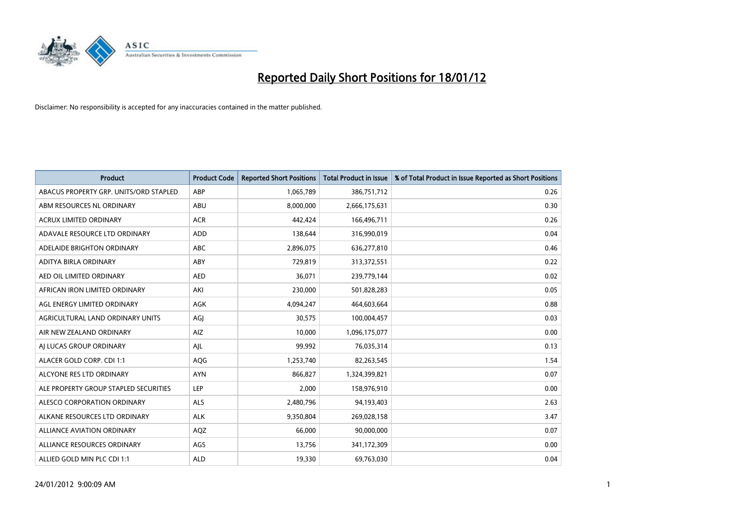

| <b>Product</b>                         | <b>Product Code</b> | <b>Reported Short Positions</b> | <b>Total Product in Issue</b> | % of Total Product in Issue Reported as Short Positions |
|----------------------------------------|---------------------|---------------------------------|-------------------------------|---------------------------------------------------------|
| ABACUS PROPERTY GRP. UNITS/ORD STAPLED | ABP                 | 1,065,789                       | 386,751,712                   | 0.26                                                    |
| ABM RESOURCES NL ORDINARY              | ABU                 | 8,000,000                       | 2,666,175,631                 | 0.30                                                    |
| <b>ACRUX LIMITED ORDINARY</b>          | <b>ACR</b>          | 442,424                         | 166,496,711                   | 0.26                                                    |
| ADAVALE RESOURCE LTD ORDINARY          | <b>ADD</b>          | 138,644                         | 316,990,019                   | 0.04                                                    |
| ADELAIDE BRIGHTON ORDINARY             | <b>ABC</b>          | 2,896,075                       | 636,277,810                   | 0.46                                                    |
| ADITYA BIRLA ORDINARY                  | ABY                 | 729,819                         | 313,372,551                   | 0.22                                                    |
| AED OIL LIMITED ORDINARY               | <b>AED</b>          | 36,071                          | 239,779,144                   | 0.02                                                    |
| AFRICAN IRON LIMITED ORDINARY          | AKI                 | 230,000                         | 501,828,283                   | 0.05                                                    |
| AGL ENERGY LIMITED ORDINARY            | <b>AGK</b>          | 4,094,247                       | 464,603,664                   | 0.88                                                    |
| AGRICULTURAL LAND ORDINARY UNITS       | AGI                 | 30,575                          | 100,004,457                   | 0.03                                                    |
| AIR NEW ZEALAND ORDINARY               | AIZ                 | 10,000                          | 1,096,175,077                 | 0.00                                                    |
| AI LUCAS GROUP ORDINARY                | AJL                 | 99,992                          | 76,035,314                    | 0.13                                                    |
| ALACER GOLD CORP. CDI 1:1              | AQG                 | 1,253,740                       | 82,263,545                    | 1.54                                                    |
| ALCYONE RES LTD ORDINARY               | <b>AYN</b>          | 866,827                         | 1,324,399,821                 | 0.07                                                    |
| ALE PROPERTY GROUP STAPLED SECURITIES  | LEP                 | 2,000                           | 158,976,910                   | 0.00                                                    |
| ALESCO CORPORATION ORDINARY            | ALS                 | 2,480,796                       | 94,193,403                    | 2.63                                                    |
| ALKANE RESOURCES LTD ORDINARY          | <b>ALK</b>          | 9,350,804                       | 269,028,158                   | 3.47                                                    |
| ALLIANCE AVIATION ORDINARY             | AQZ                 | 66,000                          | 90,000,000                    | 0.07                                                    |
| ALLIANCE RESOURCES ORDINARY            | AGS                 | 13,756                          | 341,172,309                   | 0.00                                                    |
| ALLIED GOLD MIN PLC CDI 1:1            | <b>ALD</b>          | 19,330                          | 69,763,030                    | 0.04                                                    |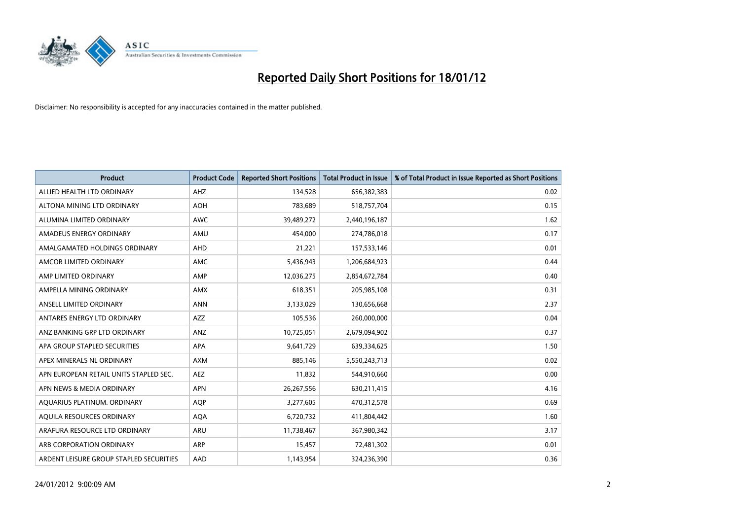

| <b>Product</b>                          | <b>Product Code</b> | <b>Reported Short Positions</b> | Total Product in Issue | % of Total Product in Issue Reported as Short Positions |
|-----------------------------------------|---------------------|---------------------------------|------------------------|---------------------------------------------------------|
| ALLIED HEALTH LTD ORDINARY              | AHZ                 | 134,528                         | 656,382,383            | 0.02                                                    |
| ALTONA MINING LTD ORDINARY              | <b>AOH</b>          | 783,689                         | 518,757,704            | 0.15                                                    |
| ALUMINA LIMITED ORDINARY                | <b>AWC</b>          | 39,489,272                      | 2,440,196,187          | 1.62                                                    |
| AMADEUS ENERGY ORDINARY                 | AMU                 | 454,000                         | 274,786,018            | 0.17                                                    |
| AMALGAMATED HOLDINGS ORDINARY           | AHD                 | 21,221                          | 157,533,146            | 0.01                                                    |
| AMCOR LIMITED ORDINARY                  | AMC                 | 5,436,943                       | 1,206,684,923          | 0.44                                                    |
| AMP LIMITED ORDINARY                    | AMP                 | 12,036,275                      | 2,854,672,784          | 0.40                                                    |
| AMPELLA MINING ORDINARY                 | <b>AMX</b>          | 618,351                         | 205,985,108            | 0.31                                                    |
| ANSELL LIMITED ORDINARY                 | <b>ANN</b>          | 3,133,029                       | 130,656,668            | 2.37                                                    |
| ANTARES ENERGY LTD ORDINARY             | <b>AZZ</b>          | 105,536                         | 260,000,000            | 0.04                                                    |
| ANZ BANKING GRP LTD ORDINARY            | ANZ                 | 10,725,051                      | 2,679,094,902          | 0.37                                                    |
| APA GROUP STAPLED SECURITIES            | <b>APA</b>          | 9,641,729                       | 639,334,625            | 1.50                                                    |
| APEX MINERALS NL ORDINARY               | <b>AXM</b>          | 885,146                         | 5,550,243,713          | 0.02                                                    |
| APN EUROPEAN RETAIL UNITS STAPLED SEC.  | <b>AEZ</b>          | 11,832                          | 544,910,660            | 0.00                                                    |
| APN NEWS & MEDIA ORDINARY               | <b>APN</b>          | 26,267,556                      | 630,211,415            | 4.16                                                    |
| AQUARIUS PLATINUM. ORDINARY             | <b>AOP</b>          | 3,277,605                       | 470,312,578            | 0.69                                                    |
| AQUILA RESOURCES ORDINARY               | <b>AQA</b>          | 6,720,732                       | 411,804,442            | 1.60                                                    |
| ARAFURA RESOURCE LTD ORDINARY           | <b>ARU</b>          | 11,738,467                      | 367,980,342            | 3.17                                                    |
| ARB CORPORATION ORDINARY                | ARP                 | 15,457                          | 72,481,302             | 0.01                                                    |
| ARDENT LEISURE GROUP STAPLED SECURITIES | AAD                 | 1,143,954                       | 324,236,390            | 0.36                                                    |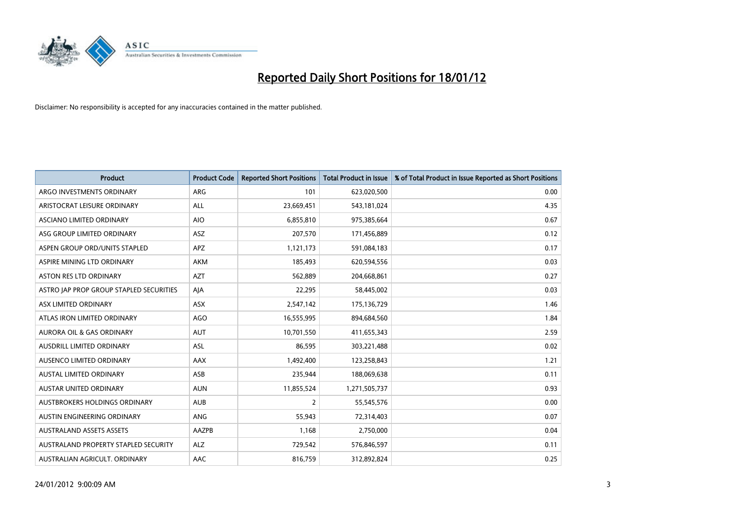

| <b>Product</b>                          | <b>Product Code</b> | <b>Reported Short Positions</b> | <b>Total Product in Issue</b> | % of Total Product in Issue Reported as Short Positions |
|-----------------------------------------|---------------------|---------------------------------|-------------------------------|---------------------------------------------------------|
| ARGO INVESTMENTS ORDINARY               | <b>ARG</b>          | 101                             | 623,020,500                   | 0.00                                                    |
| ARISTOCRAT LEISURE ORDINARY             | <b>ALL</b>          | 23,669,451                      | 543,181,024                   | 4.35                                                    |
| <b>ASCIANO LIMITED ORDINARY</b>         | <b>AIO</b>          | 6,855,810                       | 975,385,664                   | 0.67                                                    |
| ASG GROUP LIMITED ORDINARY              | ASZ                 | 207,570                         | 171,456,889                   | 0.12                                                    |
| ASPEN GROUP ORD/UNITS STAPLED           | <b>APZ</b>          | 1,121,173                       | 591,084,183                   | 0.17                                                    |
| ASPIRE MINING LTD ORDINARY              | <b>AKM</b>          | 185,493                         | 620,594,556                   | 0.03                                                    |
| ASTON RES LTD ORDINARY                  | <b>AZT</b>          | 562,889                         | 204,668,861                   | 0.27                                                    |
| ASTRO JAP PROP GROUP STAPLED SECURITIES | AIA                 | 22,295                          | 58,445,002                    | 0.03                                                    |
| ASX LIMITED ORDINARY                    | <b>ASX</b>          | 2,547,142                       | 175,136,729                   | 1.46                                                    |
| ATLAS IRON LIMITED ORDINARY             | AGO                 | 16,555,995                      | 894,684,560                   | 1.84                                                    |
| AURORA OIL & GAS ORDINARY               | <b>AUT</b>          | 10,701,550                      | 411,655,343                   | 2.59                                                    |
| <b>AUSDRILL LIMITED ORDINARY</b>        | <b>ASL</b>          | 86,595                          | 303,221,488                   | 0.02                                                    |
| AUSENCO LIMITED ORDINARY                | AAX                 | 1,492,400                       | 123,258,843                   | 1.21                                                    |
| <b>AUSTAL LIMITED ORDINARY</b>          | ASB                 | 235,944                         | 188,069,638                   | 0.11                                                    |
| <b>AUSTAR UNITED ORDINARY</b>           | <b>AUN</b>          | 11,855,524                      | 1,271,505,737                 | 0.93                                                    |
| AUSTBROKERS HOLDINGS ORDINARY           | <b>AUB</b>          | 2                               | 55,545,576                    | 0.00                                                    |
| AUSTIN ENGINEERING ORDINARY             | ANG                 | 55,943                          | 72,314,403                    | 0.07                                                    |
| <b>AUSTRALAND ASSETS ASSETS</b>         | AAZPB               | 1,168                           | 2,750,000                     | 0.04                                                    |
| AUSTRALAND PROPERTY STAPLED SECURITY    | <b>ALZ</b>          | 729,542                         | 576,846,597                   | 0.11                                                    |
| AUSTRALIAN AGRICULT. ORDINARY           | AAC                 | 816,759                         | 312,892,824                   | 0.25                                                    |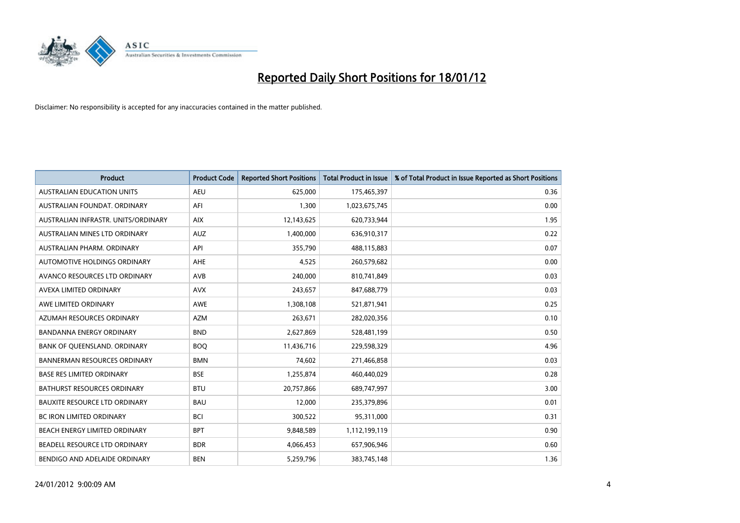

| <b>Product</b>                       | <b>Product Code</b> | <b>Reported Short Positions</b> | <b>Total Product in Issue</b> | % of Total Product in Issue Reported as Short Positions |
|--------------------------------------|---------------------|---------------------------------|-------------------------------|---------------------------------------------------------|
| <b>AUSTRALIAN EDUCATION UNITS</b>    | <b>AEU</b>          | 625,000                         | 175,465,397                   | 0.36                                                    |
| AUSTRALIAN FOUNDAT. ORDINARY         | AFI                 | 1,300                           | 1,023,675,745                 | 0.00                                                    |
| AUSTRALIAN INFRASTR, UNITS/ORDINARY  | <b>AIX</b>          | 12,143,625                      | 620,733,944                   | 1.95                                                    |
| AUSTRALIAN MINES LTD ORDINARY        | <b>AUZ</b>          | 1,400,000                       | 636,910,317                   | 0.22                                                    |
| <b>AUSTRALIAN PHARM, ORDINARY</b>    | API                 | 355,790                         | 488,115,883                   | 0.07                                                    |
| AUTOMOTIVE HOLDINGS ORDINARY         | AHE                 | 4,525                           | 260,579,682                   | 0.00                                                    |
| AVANCO RESOURCES LTD ORDINARY        | AVB                 | 240,000                         | 810,741,849                   | 0.03                                                    |
| AVEXA LIMITED ORDINARY               | <b>AVX</b>          | 243,657                         | 847,688,779                   | 0.03                                                    |
| AWE LIMITED ORDINARY                 | <b>AWE</b>          | 1,308,108                       | 521,871,941                   | 0.25                                                    |
| AZUMAH RESOURCES ORDINARY            | <b>AZM</b>          | 263,671                         | 282,020,356                   | 0.10                                                    |
| BANDANNA ENERGY ORDINARY             | <b>BND</b>          | 2,627,869                       | 528,481,199                   | 0.50                                                    |
| BANK OF QUEENSLAND. ORDINARY         | <b>BOO</b>          | 11,436,716                      | 229,598,329                   | 4.96                                                    |
| <b>BANNERMAN RESOURCES ORDINARY</b>  | <b>BMN</b>          | 74,602                          | 271,466,858                   | 0.03                                                    |
| <b>BASE RES LIMITED ORDINARY</b>     | <b>BSE</b>          | 1,255,874                       | 460,440,029                   | 0.28                                                    |
| <b>BATHURST RESOURCES ORDINARY</b>   | <b>BTU</b>          | 20,757,866                      | 689,747,997                   | 3.00                                                    |
| <b>BAUXITE RESOURCE LTD ORDINARY</b> | <b>BAU</b>          | 12,000                          | 235,379,896                   | 0.01                                                    |
| <b>BC IRON LIMITED ORDINARY</b>      | <b>BCI</b>          | 300,522                         | 95,311,000                    | 0.31                                                    |
| BEACH ENERGY LIMITED ORDINARY        | <b>BPT</b>          | 9,848,589                       | 1,112,199,119                 | 0.90                                                    |
| BEADELL RESOURCE LTD ORDINARY        | <b>BDR</b>          | 4,066,453                       | 657,906,946                   | 0.60                                                    |
| BENDIGO AND ADELAIDE ORDINARY        | <b>BEN</b>          | 5,259,796                       | 383,745,148                   | 1.36                                                    |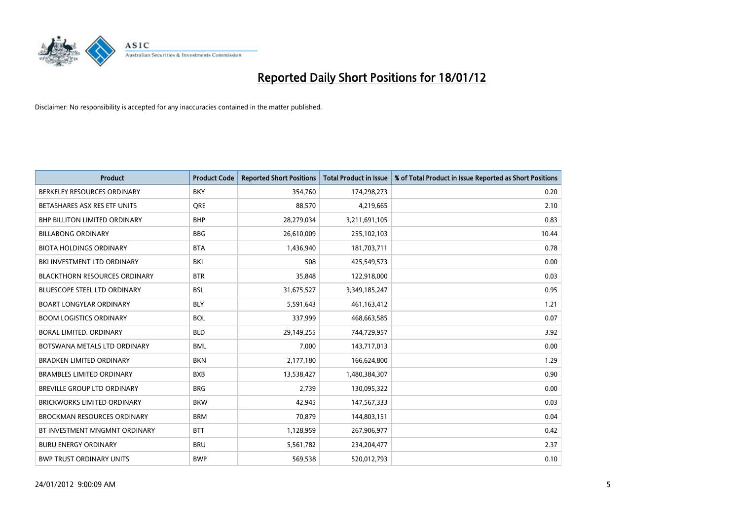

| <b>Product</b>                       | <b>Product Code</b> | <b>Reported Short Positions</b> | <b>Total Product in Issue</b> | % of Total Product in Issue Reported as Short Positions |
|--------------------------------------|---------------------|---------------------------------|-------------------------------|---------------------------------------------------------|
| BERKELEY RESOURCES ORDINARY          | <b>BKY</b>          | 354,760                         | 174,298,273                   | 0.20                                                    |
| BETASHARES ASX RES ETF UNITS         | <b>ORE</b>          | 88,570                          | 4,219,665                     | 2.10                                                    |
| <b>BHP BILLITON LIMITED ORDINARY</b> | <b>BHP</b>          | 28,279,034                      | 3,211,691,105                 | 0.83                                                    |
| <b>BILLABONG ORDINARY</b>            | <b>BBG</b>          | 26,610,009                      | 255,102,103                   | 10.44                                                   |
| <b>BIOTA HOLDINGS ORDINARY</b>       | <b>BTA</b>          | 1,436,940                       | 181,703,711                   | 0.78                                                    |
| BKI INVESTMENT LTD ORDINARY          | BKI                 | 508                             | 425,549,573                   | 0.00                                                    |
| <b>BLACKTHORN RESOURCES ORDINARY</b> | <b>BTR</b>          | 35,848                          | 122,918,000                   | 0.03                                                    |
| <b>BLUESCOPE STEEL LTD ORDINARY</b>  | <b>BSL</b>          | 31,675,527                      | 3,349,185,247                 | 0.95                                                    |
| <b>BOART LONGYEAR ORDINARY</b>       | <b>BLY</b>          | 5,591,643                       | 461,163,412                   | 1.21                                                    |
| <b>BOOM LOGISTICS ORDINARY</b>       | <b>BOL</b>          | 337,999                         | 468,663,585                   | 0.07                                                    |
| BORAL LIMITED, ORDINARY              | <b>BLD</b>          | 29,149,255                      | 744,729,957                   | 3.92                                                    |
| BOTSWANA METALS LTD ORDINARY         | <b>BML</b>          | 7,000                           | 143,717,013                   | 0.00                                                    |
| <b>BRADKEN LIMITED ORDINARY</b>      | <b>BKN</b>          | 2,177,180                       | 166,624,800                   | 1.29                                                    |
| <b>BRAMBLES LIMITED ORDINARY</b>     | <b>BXB</b>          | 13,538,427                      | 1,480,384,307                 | 0.90                                                    |
| <b>BREVILLE GROUP LTD ORDINARY</b>   | <b>BRG</b>          | 2.739                           | 130,095,322                   | 0.00                                                    |
| <b>BRICKWORKS LIMITED ORDINARY</b>   | <b>BKW</b>          | 42,945                          | 147,567,333                   | 0.03                                                    |
| <b>BROCKMAN RESOURCES ORDINARY</b>   | <b>BRM</b>          | 70,879                          | 144,803,151                   | 0.04                                                    |
| BT INVESTMENT MNGMNT ORDINARY        | <b>BTT</b>          | 1,128,959                       | 267,906,977                   | 0.42                                                    |
| <b>BURU ENERGY ORDINARY</b>          | <b>BRU</b>          | 5,561,782                       | 234,204,477                   | 2.37                                                    |
| <b>BWP TRUST ORDINARY UNITS</b>      | <b>BWP</b>          | 569,538                         | 520,012,793                   | 0.10                                                    |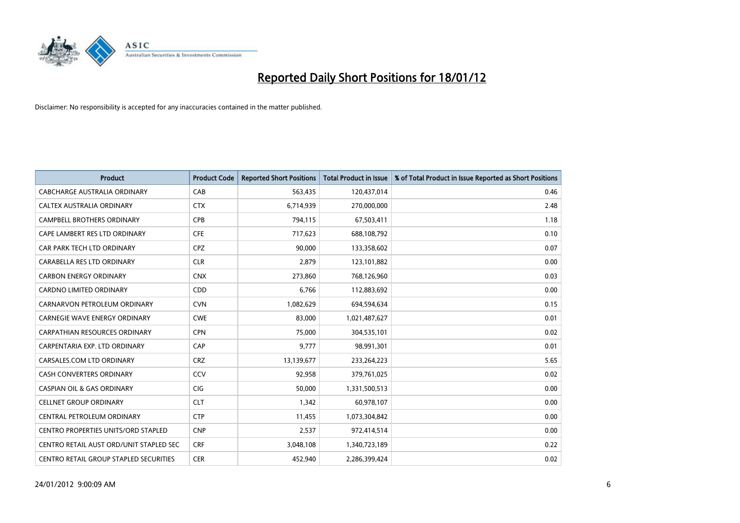

| <b>Product</b>                                | <b>Product Code</b> | <b>Reported Short Positions</b> | <b>Total Product in Issue</b> | % of Total Product in Issue Reported as Short Positions |
|-----------------------------------------------|---------------------|---------------------------------|-------------------------------|---------------------------------------------------------|
| CABCHARGE AUSTRALIA ORDINARY                  | CAB                 | 563,435                         | 120,437,014                   | 0.46                                                    |
| CALTEX AUSTRALIA ORDINARY                     | <b>CTX</b>          | 6,714,939                       | 270,000,000                   | 2.48                                                    |
| <b>CAMPBELL BROTHERS ORDINARY</b>             | <b>CPB</b>          | 794,115                         | 67,503,411                    | 1.18                                                    |
| CAPE LAMBERT RES LTD ORDINARY                 | <b>CFE</b>          | 717,623                         | 688,108,792                   | 0.10                                                    |
| CAR PARK TECH LTD ORDINARY                    | <b>CPZ</b>          | 90.000                          | 133,358,602                   | 0.07                                                    |
| CARABELLA RES LTD ORDINARY                    | <b>CLR</b>          | 2,879                           | 123,101,882                   | 0.00                                                    |
| <b>CARBON ENERGY ORDINARY</b>                 | <b>CNX</b>          | 273.860                         | 768,126,960                   | 0.03                                                    |
| <b>CARDNO LIMITED ORDINARY</b>                | CDD                 | 6,766                           | 112,883,692                   | 0.00                                                    |
| CARNARVON PETROLEUM ORDINARY                  | <b>CVN</b>          | 1,082,629                       | 694,594,634                   | 0.15                                                    |
| <b>CARNEGIE WAVE ENERGY ORDINARY</b>          | <b>CWE</b>          | 83,000                          | 1,021,487,627                 | 0.01                                                    |
| <b>CARPATHIAN RESOURCES ORDINARY</b>          | <b>CPN</b>          | 75,000                          | 304,535,101                   | 0.02                                                    |
| CARPENTARIA EXP. LTD ORDINARY                 | CAP                 | 9,777                           | 98,991,301                    | 0.01                                                    |
| CARSALES.COM LTD ORDINARY                     | <b>CRZ</b>          | 13,139,677                      | 233,264,223                   | 5.65                                                    |
| <b>CASH CONVERTERS ORDINARY</b>               | CCV                 | 92,958                          | 379,761,025                   | 0.02                                                    |
| <b>CASPIAN OIL &amp; GAS ORDINARY</b>         | <b>CIG</b>          | 50,000                          | 1,331,500,513                 | 0.00                                                    |
| <b>CELLNET GROUP ORDINARY</b>                 | <b>CLT</b>          | 1,342                           | 60,978,107                    | 0.00                                                    |
| CENTRAL PETROLEUM ORDINARY                    | <b>CTP</b>          | 11,455                          | 1,073,304,842                 | 0.00                                                    |
| CENTRO PROPERTIES UNITS/ORD STAPLED           | <b>CNP</b>          | 2,537                           | 972,414,514                   | 0.00                                                    |
| CENTRO RETAIL AUST ORD/UNIT STAPLED SEC       | <b>CRF</b>          | 3,048,108                       | 1,340,723,189                 | 0.22                                                    |
| <b>CENTRO RETAIL GROUP STAPLED SECURITIES</b> | <b>CER</b>          | 452.940                         | 2.286.399.424                 | 0.02                                                    |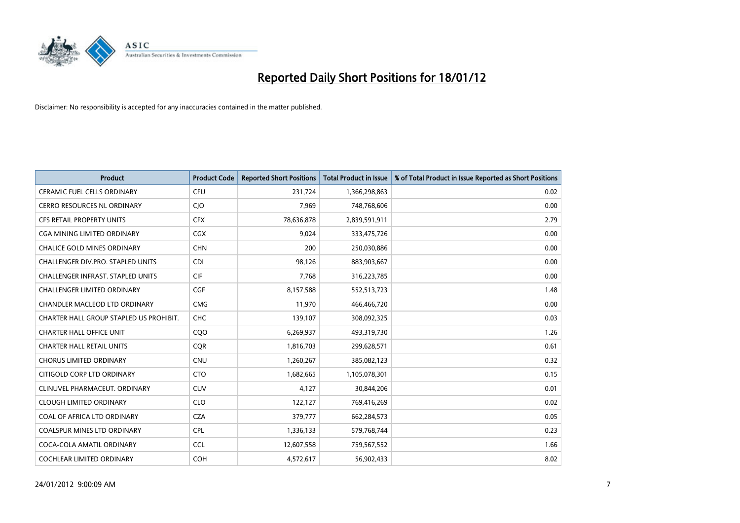

| <b>Product</b>                          | <b>Product Code</b> | <b>Reported Short Positions</b> | <b>Total Product in Issue</b> | % of Total Product in Issue Reported as Short Positions |
|-----------------------------------------|---------------------|---------------------------------|-------------------------------|---------------------------------------------------------|
| <b>CERAMIC FUEL CELLS ORDINARY</b>      | <b>CFU</b>          | 231,724                         | 1,366,298,863                 | 0.02                                                    |
| CERRO RESOURCES NL ORDINARY             | <b>CIO</b>          | 7,969                           | 748,768,606                   | 0.00                                                    |
| <b>CFS RETAIL PROPERTY UNITS</b>        | <b>CFX</b>          | 78,636,878                      | 2,839,591,911                 | 2.79                                                    |
| <b>CGA MINING LIMITED ORDINARY</b>      | <b>CGX</b>          | 9,024                           | 333,475,726                   | 0.00                                                    |
| <b>CHALICE GOLD MINES ORDINARY</b>      | <b>CHN</b>          | 200                             | 250,030,886                   | 0.00                                                    |
| CHALLENGER DIV.PRO. STAPLED UNITS       | <b>CDI</b>          | 98,126                          | 883,903,667                   | 0.00                                                    |
| CHALLENGER INFRAST. STAPLED UNITS       | <b>CIF</b>          | 7,768                           | 316,223,785                   | 0.00                                                    |
| <b>CHALLENGER LIMITED ORDINARY</b>      | <b>CGF</b>          | 8,157,588                       | 552,513,723                   | 1.48                                                    |
| CHANDLER MACLEOD LTD ORDINARY           | <b>CMG</b>          | 11,970                          | 466,466,720                   | 0.00                                                    |
| CHARTER HALL GROUP STAPLED US PROHIBIT. | <b>CHC</b>          | 139,107                         | 308,092,325                   | 0.03                                                    |
| <b>CHARTER HALL OFFICE UNIT</b>         | COO                 | 6,269,937                       | 493,319,730                   | 1.26                                                    |
| <b>CHARTER HALL RETAIL UNITS</b>        | <b>COR</b>          | 1,816,703                       | 299,628,571                   | 0.61                                                    |
| <b>CHORUS LIMITED ORDINARY</b>          | <b>CNU</b>          | 1,260,267                       | 385,082,123                   | 0.32                                                    |
| CITIGOLD CORP LTD ORDINARY              | <b>CTO</b>          | 1,682,665                       | 1,105,078,301                 | 0.15                                                    |
| CLINUVEL PHARMACEUT, ORDINARY           | <b>CUV</b>          | 4,127                           | 30,844,206                    | 0.01                                                    |
| <b>CLOUGH LIMITED ORDINARY</b>          | <b>CLO</b>          | 122,127                         | 769,416,269                   | 0.02                                                    |
| COAL OF AFRICA LTD ORDINARY             | <b>CZA</b>          | 379,777                         | 662,284,573                   | 0.05                                                    |
| COALSPUR MINES LTD ORDINARY             | <b>CPL</b>          | 1,336,133                       | 579,768,744                   | 0.23                                                    |
| COCA-COLA AMATIL ORDINARY               | <b>CCL</b>          | 12,607,558                      | 759,567,552                   | 1.66                                                    |
| COCHLEAR LIMITED ORDINARY               | <b>COH</b>          | 4,572,617                       | 56,902,433                    | 8.02                                                    |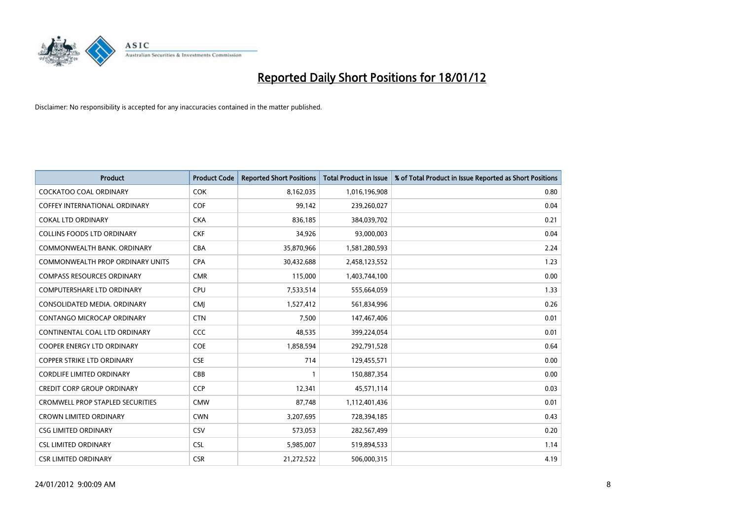

| <b>Product</b>                          | <b>Product Code</b> | <b>Reported Short Positions</b> | <b>Total Product in Issue</b> | % of Total Product in Issue Reported as Short Positions |
|-----------------------------------------|---------------------|---------------------------------|-------------------------------|---------------------------------------------------------|
| <b>COCKATOO COAL ORDINARY</b>           | <b>COK</b>          | 8,162,035                       | 1,016,196,908                 | 0.80                                                    |
| <b>COFFEY INTERNATIONAL ORDINARY</b>    | <b>COF</b>          | 99,142                          | 239,260,027                   | 0.04                                                    |
| <b>COKAL LTD ORDINARY</b>               | <b>CKA</b>          | 836,185                         | 384,039,702                   | 0.21                                                    |
| COLLINS FOODS LTD ORDINARY              | <b>CKF</b>          | 34,926                          | 93,000,003                    | 0.04                                                    |
| COMMONWEALTH BANK, ORDINARY             | <b>CBA</b>          | 35,870,966                      | 1,581,280,593                 | 2.24                                                    |
| <b>COMMONWEALTH PROP ORDINARY UNITS</b> | <b>CPA</b>          | 30,432,688                      | 2,458,123,552                 | 1.23                                                    |
| <b>COMPASS RESOURCES ORDINARY</b>       | <b>CMR</b>          | 115,000                         | 1,403,744,100                 | 0.00                                                    |
| <b>COMPUTERSHARE LTD ORDINARY</b>       | CPU                 | 7,533,514                       | 555,664,059                   | 1.33                                                    |
| CONSOLIDATED MEDIA. ORDINARY            | <b>CMI</b>          | 1,527,412                       | 561,834,996                   | 0.26                                                    |
| <b>CONTANGO MICROCAP ORDINARY</b>       | <b>CTN</b>          | 7,500                           | 147,467,406                   | 0.01                                                    |
| CONTINENTAL COAL LTD ORDINARY           | CCC                 | 48,535                          | 399,224,054                   | 0.01                                                    |
| <b>COOPER ENERGY LTD ORDINARY</b>       | <b>COE</b>          | 1,858,594                       | 292,791,528                   | 0.64                                                    |
| <b>COPPER STRIKE LTD ORDINARY</b>       | <b>CSE</b>          | 714                             | 129,455,571                   | 0.00                                                    |
| <b>CORDLIFE LIMITED ORDINARY</b>        | CBB                 |                                 | 150,887,354                   | 0.00                                                    |
| <b>CREDIT CORP GROUP ORDINARY</b>       | <b>CCP</b>          | 12,341                          | 45,571,114                    | 0.03                                                    |
| <b>CROMWELL PROP STAPLED SECURITIES</b> | <b>CMW</b>          | 87,748                          | 1,112,401,436                 | 0.01                                                    |
| <b>CROWN LIMITED ORDINARY</b>           | <b>CWN</b>          | 3,207,695                       | 728,394,185                   | 0.43                                                    |
| <b>CSG LIMITED ORDINARY</b>             | CSV                 | 573,053                         | 282,567,499                   | 0.20                                                    |
| <b>CSL LIMITED ORDINARY</b>             | <b>CSL</b>          | 5,985,007                       | 519,894,533                   | 1.14                                                    |
| <b>CSR LIMITED ORDINARY</b>             | <b>CSR</b>          | 21,272,522                      | 506,000,315                   | 4.19                                                    |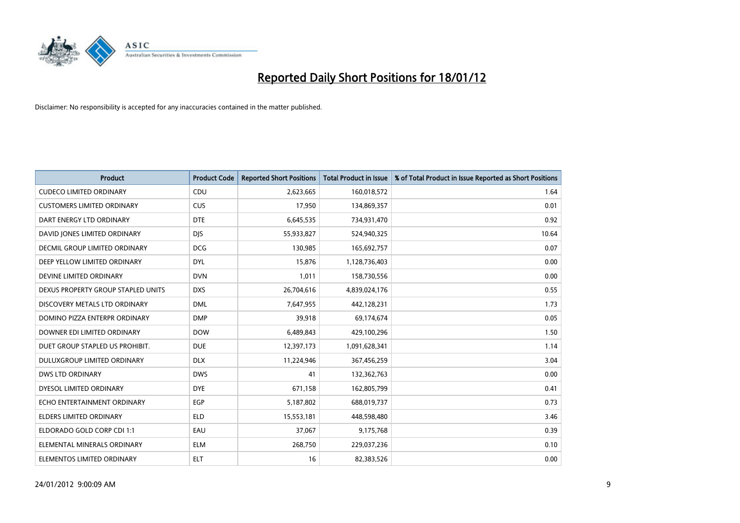

| <b>Product</b>                     | <b>Product Code</b> | <b>Reported Short Positions</b> | <b>Total Product in Issue</b> | % of Total Product in Issue Reported as Short Positions |
|------------------------------------|---------------------|---------------------------------|-------------------------------|---------------------------------------------------------|
| <b>CUDECO LIMITED ORDINARY</b>     | CDU                 | 2,623,665                       | 160,018,572                   | 1.64                                                    |
| <b>CUSTOMERS LIMITED ORDINARY</b>  | <b>CUS</b>          | 17,950                          | 134,869,357                   | 0.01                                                    |
| DART ENERGY LTD ORDINARY           | <b>DTE</b>          | 6,645,535                       | 734,931,470                   | 0.92                                                    |
| DAVID JONES LIMITED ORDINARY       | <b>DJS</b>          | 55,933,827                      | 524,940,325                   | 10.64                                                   |
| DECMIL GROUP LIMITED ORDINARY      | <b>DCG</b>          | 130,985                         | 165,692,757                   | 0.07                                                    |
| DEEP YELLOW LIMITED ORDINARY       | <b>DYL</b>          | 15,876                          | 1,128,736,403                 | 0.00                                                    |
| DEVINE LIMITED ORDINARY            | <b>DVN</b>          | 1,011                           | 158,730,556                   | 0.00                                                    |
| DEXUS PROPERTY GROUP STAPLED UNITS | <b>DXS</b>          | 26,704,616                      | 4,839,024,176                 | 0.55                                                    |
| DISCOVERY METALS LTD ORDINARY      | <b>DML</b>          | 7,647,955                       | 442,128,231                   | 1.73                                                    |
| DOMINO PIZZA ENTERPR ORDINARY      | <b>DMP</b>          | 39,918                          | 69,174,674                    | 0.05                                                    |
| DOWNER EDI LIMITED ORDINARY        | <b>DOW</b>          | 6,489,843                       | 429,100,296                   | 1.50                                                    |
| DUET GROUP STAPLED US PROHIBIT.    | <b>DUE</b>          | 12,397,173                      | 1,091,628,341                 | 1.14                                                    |
| DULUXGROUP LIMITED ORDINARY        | <b>DLX</b>          | 11,224,946                      | 367,456,259                   | 3.04                                                    |
| DWS LTD ORDINARY                   | <b>DWS</b>          | 41                              | 132,362,763                   | 0.00                                                    |
| DYESOL LIMITED ORDINARY            | <b>DYE</b>          | 671,158                         | 162,805,799                   | 0.41                                                    |
| ECHO ENTERTAINMENT ORDINARY        | <b>EGP</b>          | 5,187,802                       | 688,019,737                   | 0.73                                                    |
| ELDERS LIMITED ORDINARY            | <b>ELD</b>          | 15,553,181                      | 448,598,480                   | 3.46                                                    |
| ELDORADO GOLD CORP CDI 1:1         | EAU                 | 37,067                          | 9,175,768                     | 0.39                                                    |
| ELEMENTAL MINERALS ORDINARY        | <b>ELM</b>          | 268,750                         | 229,037,236                   | 0.10                                                    |
| ELEMENTOS LIMITED ORDINARY         | <b>ELT</b>          | 16                              | 82,383,526                    | 0.00                                                    |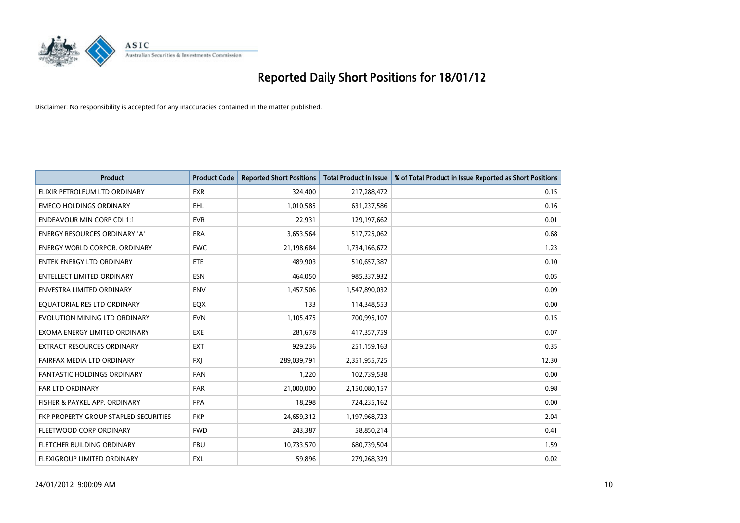

| <b>Product</b>                        | <b>Product Code</b> | <b>Reported Short Positions</b> | <b>Total Product in Issue</b> | % of Total Product in Issue Reported as Short Positions |
|---------------------------------------|---------------------|---------------------------------|-------------------------------|---------------------------------------------------------|
| ELIXIR PETROLEUM LTD ORDINARY         | <b>EXR</b>          | 324,400                         | 217,288,472                   | 0.15                                                    |
| <b>EMECO HOLDINGS ORDINARY</b>        | <b>EHL</b>          | 1,010,585                       | 631,237,586                   | 0.16                                                    |
| <b>ENDEAVOUR MIN CORP CDI 1:1</b>     | <b>EVR</b>          | 22,931                          | 129,197,662                   | 0.01                                                    |
| ENERGY RESOURCES ORDINARY 'A'         | <b>ERA</b>          | 3,653,564                       | 517,725,062                   | 0.68                                                    |
| <b>ENERGY WORLD CORPOR, ORDINARY</b>  | <b>EWC</b>          | 21,198,684                      | 1,734,166,672                 | 1.23                                                    |
| <b>ENTEK ENERGY LTD ORDINARY</b>      | <b>ETE</b>          | 489.903                         | 510,657,387                   | 0.10                                                    |
| <b>ENTELLECT LIMITED ORDINARY</b>     | <b>ESN</b>          | 464,050                         | 985,337,932                   | 0.05                                                    |
| ENVESTRA LIMITED ORDINARY             | <b>ENV</b>          | 1,457,506                       | 1,547,890,032                 | 0.09                                                    |
| EQUATORIAL RES LTD ORDINARY           | EQX                 | 133                             | 114,348,553                   | 0.00                                                    |
| EVOLUTION MINING LTD ORDINARY         | <b>EVN</b>          | 1,105,475                       | 700,995,107                   | 0.15                                                    |
| EXOMA ENERGY LIMITED ORDINARY         | <b>EXE</b>          | 281,678                         | 417,357,759                   | 0.07                                                    |
| EXTRACT RESOURCES ORDINARY            | <b>EXT</b>          | 929,236                         | 251,159,163                   | 0.35                                                    |
| FAIRFAX MEDIA LTD ORDINARY            | <b>FXI</b>          | 289,039,791                     | 2,351,955,725                 | 12.30                                                   |
| <b>FANTASTIC HOLDINGS ORDINARY</b>    | <b>FAN</b>          | 1,220                           | 102,739,538                   | 0.00                                                    |
| FAR LTD ORDINARY                      | <b>FAR</b>          | 21,000,000                      | 2,150,080,157                 | 0.98                                                    |
| FISHER & PAYKEL APP. ORDINARY         | <b>FPA</b>          | 18,298                          | 724,235,162                   | 0.00                                                    |
| FKP PROPERTY GROUP STAPLED SECURITIES | <b>FKP</b>          | 24,659,312                      | 1,197,968,723                 | 2.04                                                    |
| FLEETWOOD CORP ORDINARY               | <b>FWD</b>          | 243,387                         | 58,850,214                    | 0.41                                                    |
| FLETCHER BUILDING ORDINARY            | <b>FBU</b>          | 10,733,570                      | 680,739,504                   | 1.59                                                    |
| FLEXIGROUP LIMITED ORDINARY           | <b>FXL</b>          | 59,896                          | 279,268,329                   | 0.02                                                    |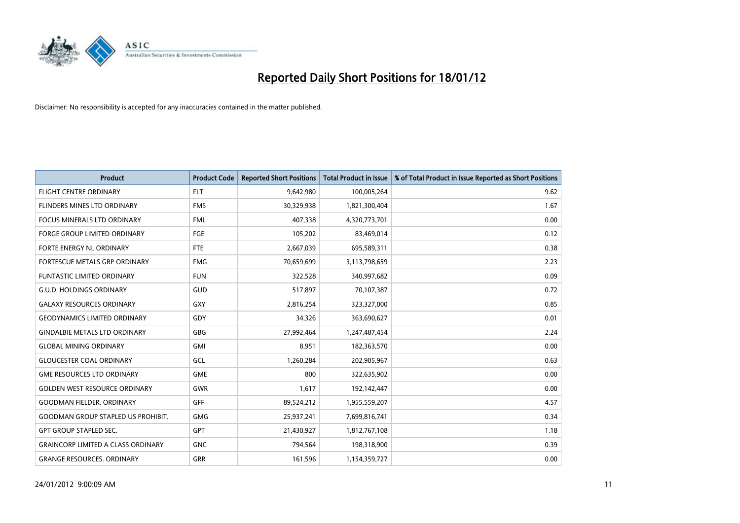

| <b>Product</b>                            | <b>Product Code</b> | <b>Reported Short Positions</b> | <b>Total Product in Issue</b> | % of Total Product in Issue Reported as Short Positions |
|-------------------------------------------|---------------------|---------------------------------|-------------------------------|---------------------------------------------------------|
| <b>FLIGHT CENTRE ORDINARY</b>             | <b>FLT</b>          | 9,642,980                       | 100,005,264                   | 9.62                                                    |
| FLINDERS MINES LTD ORDINARY               | <b>FMS</b>          | 30,329,938                      | 1,821,300,404                 | 1.67                                                    |
| <b>FOCUS MINERALS LTD ORDINARY</b>        | <b>FML</b>          | 407,338                         | 4,320,773,701                 | 0.00                                                    |
| FORGE GROUP LIMITED ORDINARY              | FGE                 | 105,202                         | 83,469,014                    | 0.12                                                    |
| FORTE ENERGY NL ORDINARY                  | <b>FTE</b>          | 2,667,039                       | 695,589,311                   | 0.38                                                    |
| FORTESCUE METALS GRP ORDINARY             | <b>FMG</b>          | 70,659,699                      | 3,113,798,659                 | 2.23                                                    |
| <b>FUNTASTIC LIMITED ORDINARY</b>         | <b>FUN</b>          | 322,528                         | 340,997,682                   | 0.09                                                    |
| <b>G.U.D. HOLDINGS ORDINARY</b>           | GUD                 | 517,897                         | 70,107,387                    | 0.72                                                    |
| <b>GALAXY RESOURCES ORDINARY</b>          | <b>GXY</b>          | 2,816,254                       | 323,327,000                   | 0.85                                                    |
| <b>GEODYNAMICS LIMITED ORDINARY</b>       | GDY                 | 34,326                          | 363,690,627                   | 0.01                                                    |
| <b>GINDALBIE METALS LTD ORDINARY</b>      | <b>GBG</b>          | 27,992,464                      | 1,247,487,454                 | 2.24                                                    |
| <b>GLOBAL MINING ORDINARY</b>             | <b>GMI</b>          | 8,951                           | 182,363,570                   | 0.00                                                    |
| <b>GLOUCESTER COAL ORDINARY</b>           | GCL                 | 1,260,284                       | 202,905,967                   | 0.63                                                    |
| <b>GME RESOURCES LTD ORDINARY</b>         | <b>GME</b>          | 800                             | 322,635,902                   | 0.00                                                    |
| <b>GOLDEN WEST RESOURCE ORDINARY</b>      | <b>GWR</b>          | 1,617                           | 192,142,447                   | 0.00                                                    |
| <b>GOODMAN FIELDER, ORDINARY</b>          | GFF                 | 89,524,212                      | 1,955,559,207                 | 4.57                                                    |
| <b>GOODMAN GROUP STAPLED US PROHIBIT.</b> | <b>GMG</b>          | 25,937,241                      | 7,699,816,741                 | 0.34                                                    |
| <b>GPT GROUP STAPLED SEC.</b>             | <b>GPT</b>          | 21,430,927                      | 1,812,767,108                 | 1.18                                                    |
| <b>GRAINCORP LIMITED A CLASS ORDINARY</b> | <b>GNC</b>          | 794,564                         | 198,318,900                   | 0.39                                                    |
| <b>GRANGE RESOURCES, ORDINARY</b>         | <b>GRR</b>          | 161,596                         | 1,154,359,727                 | 0.00                                                    |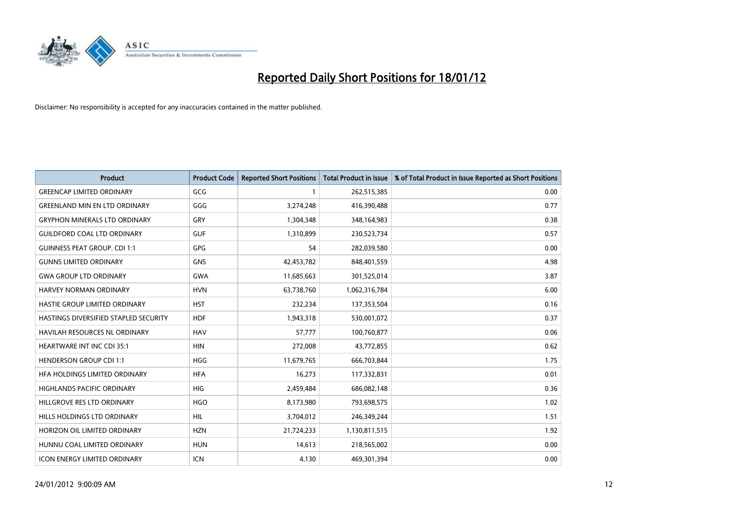

| <b>Product</b>                        | <b>Product Code</b> | <b>Reported Short Positions</b> | <b>Total Product in Issue</b> | % of Total Product in Issue Reported as Short Positions |
|---------------------------------------|---------------------|---------------------------------|-------------------------------|---------------------------------------------------------|
| <b>GREENCAP LIMITED ORDINARY</b>      | GCG                 |                                 | 262,515,385                   | 0.00                                                    |
| <b>GREENLAND MIN EN LTD ORDINARY</b>  | GGG                 | 3,274,248                       | 416,390,488                   | 0.77                                                    |
| <b>GRYPHON MINERALS LTD ORDINARY</b>  | GRY                 | 1,304,348                       | 348,164,983                   | 0.38                                                    |
| <b>GUILDFORD COAL LTD ORDINARY</b>    | <b>GUF</b>          | 1,310,899                       | 230,523,734                   | 0.57                                                    |
| <b>GUINNESS PEAT GROUP. CDI 1:1</b>   | <b>GPG</b>          | 54                              | 282,039,580                   | 0.00                                                    |
| <b>GUNNS LIMITED ORDINARY</b>         | <b>GNS</b>          | 42,453,782                      | 848,401,559                   | 4.98                                                    |
| <b>GWA GROUP LTD ORDINARY</b>         | <b>GWA</b>          | 11,685,663                      | 301,525,014                   | 3.87                                                    |
| <b>HARVEY NORMAN ORDINARY</b>         | <b>HVN</b>          | 63,738,760                      | 1,062,316,784                 | 6.00                                                    |
| HASTIE GROUP LIMITED ORDINARY         | <b>HST</b>          | 232,234                         | 137,353,504                   | 0.16                                                    |
| HASTINGS DIVERSIFIED STAPLED SECURITY | <b>HDF</b>          | 1,943,318                       | 530,001,072                   | 0.37                                                    |
| <b>HAVILAH RESOURCES NL ORDINARY</b>  | <b>HAV</b>          | 57,777                          | 100,760,877                   | 0.06                                                    |
| HEARTWARE INT INC CDI 35:1            | <b>HIN</b>          | 272,008                         | 43,772,855                    | 0.62                                                    |
| <b>HENDERSON GROUP CDI 1:1</b>        | HGG                 | 11,679,765                      | 666,703,844                   | 1.75                                                    |
| HFA HOLDINGS LIMITED ORDINARY         | <b>HFA</b>          | 16,273                          | 117,332,831                   | 0.01                                                    |
| <b>HIGHLANDS PACIFIC ORDINARY</b>     | <b>HIG</b>          | 2,459,484                       | 686,082,148                   | 0.36                                                    |
| HILLGROVE RES LTD ORDINARY            | <b>HGO</b>          | 8,173,980                       | 793,698,575                   | 1.02                                                    |
| HILLS HOLDINGS LTD ORDINARY           | <b>HIL</b>          | 3,704,012                       | 246,349,244                   | 1.51                                                    |
| HORIZON OIL LIMITED ORDINARY          | <b>HZN</b>          | 21,724,233                      | 1,130,811,515                 | 1.92                                                    |
| HUNNU COAL LIMITED ORDINARY           | <b>HUN</b>          | 14,613                          | 218,565,002                   | 0.00                                                    |
| <b>ICON ENERGY LIMITED ORDINARY</b>   | <b>ICN</b>          | 4,130                           | 469,301,394                   | 0.00                                                    |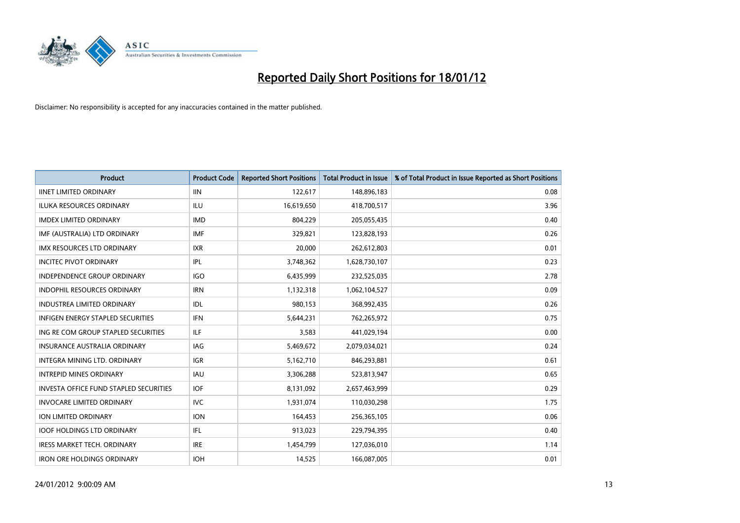

| <b>Product</b>                                | <b>Product Code</b> | <b>Reported Short Positions</b> | <b>Total Product in Issue</b> | % of Total Product in Issue Reported as Short Positions |
|-----------------------------------------------|---------------------|---------------------------------|-------------------------------|---------------------------------------------------------|
| <b>IINET LIMITED ORDINARY</b>                 | <b>IIN</b>          | 122,617                         | 148,896,183                   | 0.08                                                    |
| ILUKA RESOURCES ORDINARY                      | ILU                 | 16,619,650                      | 418,700,517                   | 3.96                                                    |
| <b>IMDEX LIMITED ORDINARY</b>                 | <b>IMD</b>          | 804,229                         | 205,055,435                   | 0.40                                                    |
| IMF (AUSTRALIA) LTD ORDINARY                  | <b>IMF</b>          | 329,821                         | 123,828,193                   | 0.26                                                    |
| <b>IMX RESOURCES LTD ORDINARY</b>             | <b>IXR</b>          | 20,000                          | 262,612,803                   | 0.01                                                    |
| <b>INCITEC PIVOT ORDINARY</b>                 | IPL                 | 3,748,362                       | 1,628,730,107                 | 0.23                                                    |
| INDEPENDENCE GROUP ORDINARY                   | <b>IGO</b>          | 6,435,999                       | 232,525,035                   | 2.78                                                    |
| INDOPHIL RESOURCES ORDINARY                   | <b>IRN</b>          | 1,132,318                       | 1,062,104,527                 | 0.09                                                    |
| <b>INDUSTREA LIMITED ORDINARY</b>             | IDL                 | 980,153                         | 368,992,435                   | 0.26                                                    |
| <b>INFIGEN ENERGY STAPLED SECURITIES</b>      | <b>IFN</b>          | 5,644,231                       | 762,265,972                   | 0.75                                                    |
| ING RE COM GROUP STAPLED SECURITIES           | ILF.                | 3,583                           | 441,029,194                   | 0.00                                                    |
| <b>INSURANCE AUSTRALIA ORDINARY</b>           | IAG                 | 5,469,672                       | 2,079,034,021                 | 0.24                                                    |
| <b>INTEGRA MINING LTD, ORDINARY</b>           | <b>IGR</b>          | 5,162,710                       | 846,293,881                   | 0.61                                                    |
| <b>INTREPID MINES ORDINARY</b>                | <b>IAU</b>          | 3,306,288                       | 523,813,947                   | 0.65                                                    |
| <b>INVESTA OFFICE FUND STAPLED SECURITIES</b> | <b>IOF</b>          | 8,131,092                       | 2,657,463,999                 | 0.29                                                    |
| <b>INVOCARE LIMITED ORDINARY</b>              | IVC                 | 1,931,074                       | 110,030,298                   | 1.75                                                    |
| ION LIMITED ORDINARY                          | <b>ION</b>          | 164,453                         | 256,365,105                   | 0.06                                                    |
| <b>IOOF HOLDINGS LTD ORDINARY</b>             | <b>IFL</b>          | 913,023                         | 229,794,395                   | 0.40                                                    |
| <b>IRESS MARKET TECH. ORDINARY</b>            | <b>IRE</b>          | 1,454,799                       | 127,036,010                   | 1.14                                                    |
| <b>IRON ORE HOLDINGS ORDINARY</b>             | <b>IOH</b>          | 14,525                          | 166,087,005                   | 0.01                                                    |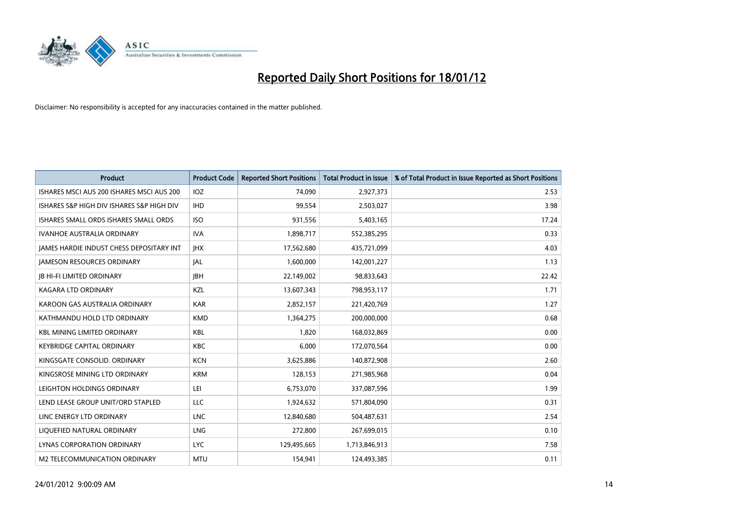

| <b>Product</b>                                  | <b>Product Code</b> | <b>Reported Short Positions</b> | <b>Total Product in Issue</b> | % of Total Product in Issue Reported as Short Positions |
|-------------------------------------------------|---------------------|---------------------------------|-------------------------------|---------------------------------------------------------|
| ISHARES MSCI AUS 200 ISHARES MSCI AUS 200       | <b>IOZ</b>          | 74,090                          | 2,927,373                     | 2.53                                                    |
| ISHARES S&P HIGH DIV ISHARES S&P HIGH DIV       | <b>IHD</b>          | 99,554                          | 2,503,027                     | 3.98                                                    |
| ISHARES SMALL ORDS ISHARES SMALL ORDS           | <b>ISO</b>          | 931,556                         | 5,403,165                     | 17.24                                                   |
| <b>IVANHOE AUSTRALIA ORDINARY</b>               | <b>IVA</b>          | 1,898,717                       | 552,385,295                   | 0.33                                                    |
| <b>JAMES HARDIE INDUST CHESS DEPOSITARY INT</b> | <b>IHX</b>          | 17,562,680                      | 435,721,099                   | 4.03                                                    |
| <b>JAMESON RESOURCES ORDINARY</b>               | <b>JAL</b>          | 1,600,000                       | 142,001,227                   | 1.13                                                    |
| <b>IB HI-FI LIMITED ORDINARY</b>                | <b>IBH</b>          | 22,149,002                      | 98,833,643                    | 22.42                                                   |
| KAGARA LTD ORDINARY                             | KZL                 | 13,607,343                      | 798,953,117                   | 1.71                                                    |
| KAROON GAS AUSTRALIA ORDINARY                   | <b>KAR</b>          | 2,852,157                       | 221,420,769                   | 1.27                                                    |
| KATHMANDU HOLD LTD ORDINARY                     | <b>KMD</b>          | 1,364,275                       | 200,000,000                   | 0.68                                                    |
| <b>KBL MINING LIMITED ORDINARY</b>              | <b>KBL</b>          | 1,820                           | 168,032,869                   | 0.00                                                    |
| <b>KEYBRIDGE CAPITAL ORDINARY</b>               | <b>KBC</b>          | 6,000                           | 172,070,564                   | 0.00                                                    |
| KINGSGATE CONSOLID. ORDINARY                    | <b>KCN</b>          | 3,625,886                       | 140,872,908                   | 2.60                                                    |
| KINGSROSE MINING LTD ORDINARY                   | <b>KRM</b>          | 128,153                         | 271,985,968                   | 0.04                                                    |
| LEIGHTON HOLDINGS ORDINARY                      | LEI                 | 6,753,070                       | 337,087,596                   | 1.99                                                    |
| LEND LEASE GROUP UNIT/ORD STAPLED               | LLC                 | 1,924,632                       | 571,804,090                   | 0.31                                                    |
| LINC ENERGY LTD ORDINARY                        | <b>LNC</b>          | 12,840,680                      | 504,487,631                   | 2.54                                                    |
| LIQUEFIED NATURAL ORDINARY                      | <b>LNG</b>          | 272,800                         | 267,699,015                   | 0.10                                                    |
| <b>LYNAS CORPORATION ORDINARY</b>               | <b>LYC</b>          | 129,495,665                     | 1,713,846,913                 | 7.58                                                    |
| M2 TELECOMMUNICATION ORDINARY                   | <b>MTU</b>          | 154,941                         | 124,493,385                   | 0.11                                                    |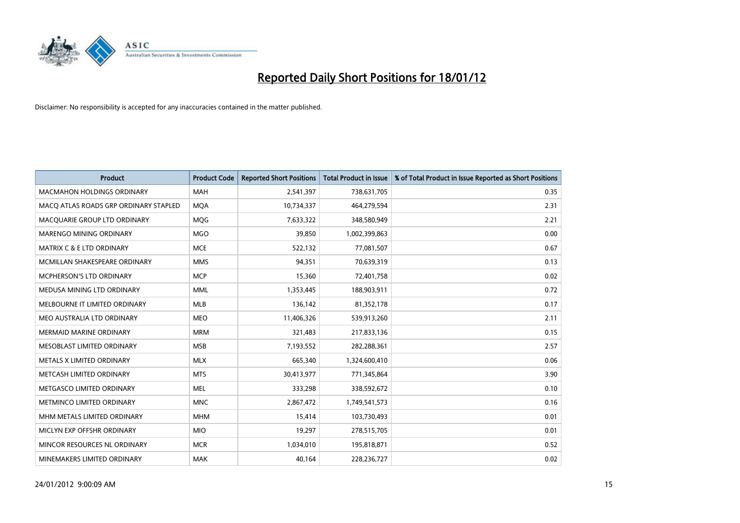

| <b>Product</b>                        | <b>Product Code</b> | <b>Reported Short Positions</b> | <b>Total Product in Issue</b> | % of Total Product in Issue Reported as Short Positions |
|---------------------------------------|---------------------|---------------------------------|-------------------------------|---------------------------------------------------------|
| <b>MACMAHON HOLDINGS ORDINARY</b>     | <b>MAH</b>          | 2,541,397                       | 738,631,705                   | 0.35                                                    |
| MACO ATLAS ROADS GRP ORDINARY STAPLED | <b>MQA</b>          | 10,734,337                      | 464,279,594                   | 2.31                                                    |
| MACQUARIE GROUP LTD ORDINARY          | <b>MOG</b>          | 7,633,322                       | 348,580,949                   | 2.21                                                    |
| MARENGO MINING ORDINARY               | <b>MGO</b>          | 39,850                          | 1,002,399,863                 | 0.00                                                    |
| <b>MATRIX C &amp; E LTD ORDINARY</b>  | <b>MCE</b>          | 522,132                         | 77,081,507                    | 0.67                                                    |
| MCMILLAN SHAKESPEARE ORDINARY         | <b>MMS</b>          | 94,351                          | 70,639,319                    | 0.13                                                    |
| <b>MCPHERSON'S LTD ORDINARY</b>       | <b>MCP</b>          | 15,360                          | 72,401,758                    | 0.02                                                    |
| MEDUSA MINING LTD ORDINARY            | <b>MML</b>          | 1,353,445                       | 188,903,911                   | 0.72                                                    |
| MELBOURNE IT LIMITED ORDINARY         | <b>MLB</b>          | 136,142                         | 81,352,178                    | 0.17                                                    |
| MEO AUSTRALIA LTD ORDINARY            | <b>MEO</b>          | 11,406,326                      | 539,913,260                   | 2.11                                                    |
| MERMAID MARINE ORDINARY               | <b>MRM</b>          | 321,483                         | 217,833,136                   | 0.15                                                    |
| MESOBLAST LIMITED ORDINARY            | <b>MSB</b>          | 7,193,552                       | 282,288,361                   | 2.57                                                    |
| METALS X LIMITED ORDINARY             | <b>MLX</b>          | 665,340                         | 1,324,600,410                 | 0.06                                                    |
| METCASH LIMITED ORDINARY              | <b>MTS</b>          | 30,413,977                      | 771,345,864                   | 3.90                                                    |
| METGASCO LIMITED ORDINARY             | <b>MEL</b>          | 333,298                         | 338,592,672                   | 0.10                                                    |
| METMINCO LIMITED ORDINARY             | <b>MNC</b>          | 2,867,472                       | 1,749,541,573                 | 0.16                                                    |
| MHM METALS LIMITED ORDINARY           | <b>MHM</b>          | 15,414                          | 103,730,493                   | 0.01                                                    |
| MICLYN EXP OFFSHR ORDINARY            | <b>MIO</b>          | 19,297                          | 278,515,705                   | 0.01                                                    |
| MINCOR RESOURCES NL ORDINARY          | <b>MCR</b>          | 1,034,010                       | 195,818,871                   | 0.52                                                    |
| MINEMAKERS LIMITED ORDINARY           | <b>MAK</b>          | 40,164                          | 228,236,727                   | 0.02                                                    |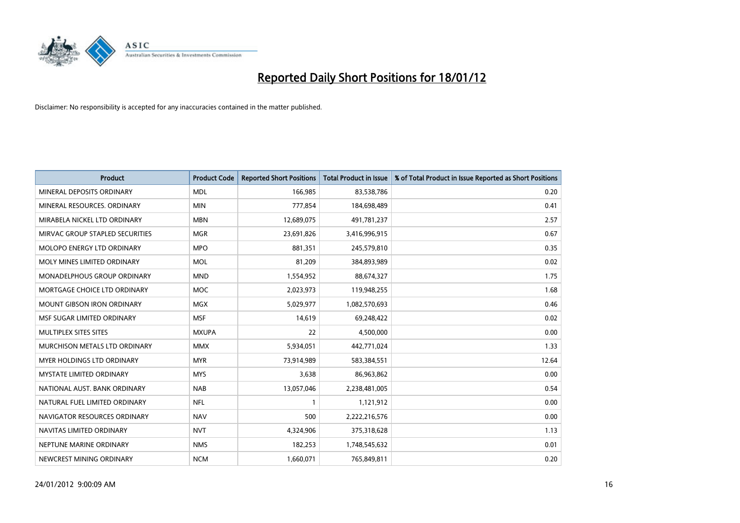

| <b>Product</b>                    | <b>Product Code</b> | <b>Reported Short Positions</b> | <b>Total Product in Issue</b> | % of Total Product in Issue Reported as Short Positions |
|-----------------------------------|---------------------|---------------------------------|-------------------------------|---------------------------------------------------------|
| MINERAL DEPOSITS ORDINARY         | <b>MDL</b>          | 166,985                         | 83,538,786                    | 0.20                                                    |
| MINERAL RESOURCES, ORDINARY       | <b>MIN</b>          | 777,854                         | 184,698,489                   | 0.41                                                    |
| MIRABELA NICKEL LTD ORDINARY      | <b>MBN</b>          | 12,689,075                      | 491,781,237                   | 2.57                                                    |
| MIRVAC GROUP STAPLED SECURITIES   | <b>MGR</b>          | 23,691,826                      | 3,416,996,915                 | 0.67                                                    |
| MOLOPO ENERGY LTD ORDINARY        | <b>MPO</b>          | 881,351                         | 245,579,810                   | 0.35                                                    |
| MOLY MINES LIMITED ORDINARY       | <b>MOL</b>          | 81,209                          | 384,893,989                   | 0.02                                                    |
| MONADELPHOUS GROUP ORDINARY       | <b>MND</b>          | 1,554,952                       | 88,674,327                    | 1.75                                                    |
| MORTGAGE CHOICE LTD ORDINARY      | <b>MOC</b>          | 2,023,973                       | 119,948,255                   | 1.68                                                    |
| <b>MOUNT GIBSON IRON ORDINARY</b> | <b>MGX</b>          | 5,029,977                       | 1,082,570,693                 | 0.46                                                    |
| MSF SUGAR LIMITED ORDINARY        | <b>MSF</b>          | 14,619                          | 69,248,422                    | 0.02                                                    |
| MULTIPLEX SITES SITES             | <b>MXUPA</b>        | 22                              | 4,500,000                     | 0.00                                                    |
| MURCHISON METALS LTD ORDINARY     | <b>MMX</b>          | 5,934,051                       | 442,771,024                   | 1.33                                                    |
| <b>MYER HOLDINGS LTD ORDINARY</b> | <b>MYR</b>          | 73,914,989                      | 583,384,551                   | 12.64                                                   |
| <b>MYSTATE LIMITED ORDINARY</b>   | <b>MYS</b>          | 3,638                           | 86,963,862                    | 0.00                                                    |
| NATIONAL AUST, BANK ORDINARY      | <b>NAB</b>          | 13,057,046                      | 2,238,481,005                 | 0.54                                                    |
| NATURAL FUEL LIMITED ORDINARY     | <b>NFL</b>          |                                 | 1,121,912                     | 0.00                                                    |
| NAVIGATOR RESOURCES ORDINARY      | <b>NAV</b>          | 500                             | 2,222,216,576                 | 0.00                                                    |
| NAVITAS LIMITED ORDINARY          | <b>NVT</b>          | 4,324,906                       | 375,318,628                   | 1.13                                                    |
| NEPTUNE MARINE ORDINARY           | <b>NMS</b>          | 182,253                         | 1,748,545,632                 | 0.01                                                    |
| NEWCREST MINING ORDINARY          | <b>NCM</b>          | 1,660,071                       | 765,849,811                   | 0.20                                                    |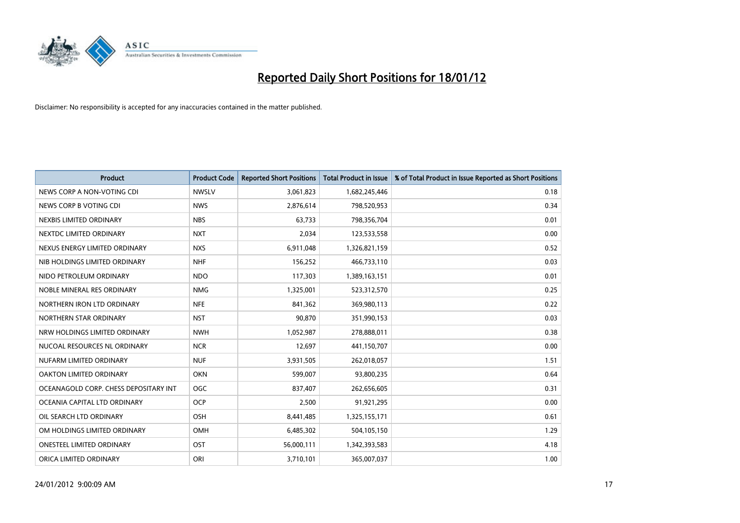

| <b>Product</b>                        | <b>Product Code</b> | <b>Reported Short Positions</b> | <b>Total Product in Issue</b> | % of Total Product in Issue Reported as Short Positions |
|---------------------------------------|---------------------|---------------------------------|-------------------------------|---------------------------------------------------------|
| NEWS CORP A NON-VOTING CDI            | <b>NWSLV</b>        | 3,061,823                       | 1,682,245,446                 | 0.18                                                    |
| NEWS CORP B VOTING CDI                | <b>NWS</b>          | 2,876,614                       | 798,520,953                   | 0.34                                                    |
| NEXBIS LIMITED ORDINARY               | <b>NBS</b>          | 63,733                          | 798,356,704                   | 0.01                                                    |
| NEXTDC LIMITED ORDINARY               | <b>NXT</b>          | 2,034                           | 123,533,558                   | 0.00                                                    |
| NEXUS ENERGY LIMITED ORDINARY         | <b>NXS</b>          | 6,911,048                       | 1,326,821,159                 | 0.52                                                    |
| NIB HOLDINGS LIMITED ORDINARY         | <b>NHF</b>          | 156,252                         | 466,733,110                   | 0.03                                                    |
| NIDO PETROLEUM ORDINARY               | <b>NDO</b>          | 117,303                         | 1,389,163,151                 | 0.01                                                    |
| NOBLE MINERAL RES ORDINARY            | <b>NMG</b>          | 1,325,001                       | 523,312,570                   | 0.25                                                    |
| NORTHERN IRON LTD ORDINARY            | <b>NFE</b>          | 841,362                         | 369,980,113                   | 0.22                                                    |
| NORTHERN STAR ORDINARY                | <b>NST</b>          | 90,870                          | 351,990,153                   | 0.03                                                    |
| NRW HOLDINGS LIMITED ORDINARY         | <b>NWH</b>          | 1,052,987                       | 278,888,011                   | 0.38                                                    |
| NUCOAL RESOURCES NL ORDINARY          | <b>NCR</b>          | 12,697                          | 441,150,707                   | 0.00                                                    |
| NUFARM LIMITED ORDINARY               | <b>NUF</b>          | 3,931,505                       | 262,018,057                   | 1.51                                                    |
| OAKTON LIMITED ORDINARY               | <b>OKN</b>          | 599,007                         | 93,800,235                    | 0.64                                                    |
| OCEANAGOLD CORP. CHESS DEPOSITARY INT | <b>OGC</b>          | 837,407                         | 262,656,605                   | 0.31                                                    |
| OCEANIA CAPITAL LTD ORDINARY          | <b>OCP</b>          | 2,500                           | 91,921,295                    | 0.00                                                    |
| OIL SEARCH LTD ORDINARY               | OSH                 | 8,441,485                       | 1,325,155,171                 | 0.61                                                    |
| OM HOLDINGS LIMITED ORDINARY          | <b>OMH</b>          | 6,485,302                       | 504,105,150                   | 1.29                                                    |
| <b>ONESTEEL LIMITED ORDINARY</b>      | OST                 | 56,000,111                      | 1,342,393,583                 | 4.18                                                    |
| ORICA LIMITED ORDINARY                | ORI                 | 3,710,101                       | 365,007,037                   | 1.00                                                    |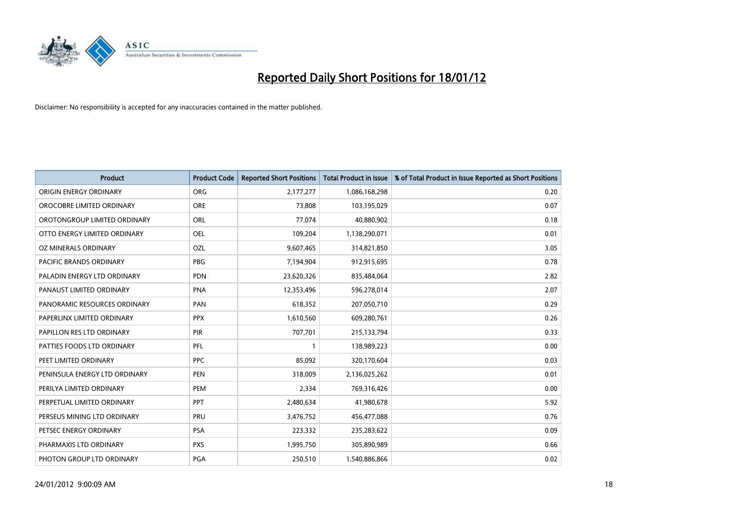

| <b>Product</b>                 | <b>Product Code</b> | <b>Reported Short Positions</b> | <b>Total Product in Issue</b> | % of Total Product in Issue Reported as Short Positions |
|--------------------------------|---------------------|---------------------------------|-------------------------------|---------------------------------------------------------|
| ORIGIN ENERGY ORDINARY         | <b>ORG</b>          | 2,177,277                       | 1,086,168,298                 | 0.20                                                    |
| OROCOBRE LIMITED ORDINARY      | <b>ORE</b>          | 73,808                          | 103,195,029                   | 0.07                                                    |
| OROTONGROUP LIMITED ORDINARY   | ORL                 | 77,074                          | 40,880,902                    | 0.18                                                    |
| OTTO ENERGY LIMITED ORDINARY   | <b>OEL</b>          | 109,204                         | 1,138,290,071                 | 0.01                                                    |
| OZ MINERALS ORDINARY           | OZL                 | 9,607,465                       | 314,821,850                   | 3.05                                                    |
| <b>PACIFIC BRANDS ORDINARY</b> | <b>PBG</b>          | 7,194,904                       | 912,915,695                   | 0.78                                                    |
| PALADIN ENERGY LTD ORDINARY    | <b>PDN</b>          | 23,620,326                      | 835,484,064                   | 2.82                                                    |
| PANAUST LIMITED ORDINARY       | <b>PNA</b>          | 12,353,496                      | 596,278,014                   | 2.07                                                    |
| PANORAMIC RESOURCES ORDINARY   | PAN                 | 618,352                         | 207,050,710                   | 0.29                                                    |
| PAPERLINX LIMITED ORDINARY     | <b>PPX</b>          | 1,610,560                       | 609,280,761                   | 0.26                                                    |
| PAPILLON RES LTD ORDINARY      | <b>PIR</b>          | 707,701                         | 215,133,794                   | 0.33                                                    |
| PATTIES FOODS LTD ORDINARY     | PFL                 |                                 | 138,989,223                   | 0.00                                                    |
| PEET LIMITED ORDINARY          | PPC                 | 85,092                          | 320,170,604                   | 0.03                                                    |
| PENINSULA ENERGY LTD ORDINARY  | <b>PEN</b>          | 318,009                         | 2,136,025,262                 | 0.01                                                    |
| PERILYA LIMITED ORDINARY       | PEM                 | 2,334                           | 769,316,426                   | 0.00                                                    |
| PERPETUAL LIMITED ORDINARY     | PPT                 | 2,480,634                       | 41,980,678                    | 5.92                                                    |
| PERSEUS MINING LTD ORDINARY    | PRU                 | 3,476,752                       | 456,477,088                   | 0.76                                                    |
| PETSEC ENERGY ORDINARY         | <b>PSA</b>          | 223,332                         | 235,283,622                   | 0.09                                                    |
| PHARMAXIS LTD ORDINARY         | <b>PXS</b>          | 1,995,750                       | 305,890,989                   | 0.66                                                    |
| PHOTON GROUP LTD ORDINARY      | <b>PGA</b>          | 250,510                         | 1,540,886,866                 | 0.02                                                    |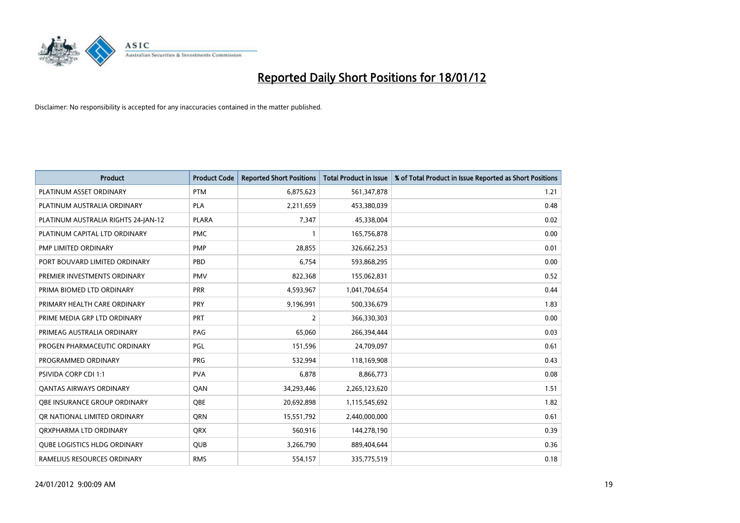

| <b>Product</b>                      | <b>Product Code</b> | <b>Reported Short Positions</b> | <b>Total Product in Issue</b> | % of Total Product in Issue Reported as Short Positions |
|-------------------------------------|---------------------|---------------------------------|-------------------------------|---------------------------------------------------------|
| PLATINUM ASSET ORDINARY             | <b>PTM</b>          | 6,875,623                       | 561,347,878                   | 1.21                                                    |
| PLATINUM AUSTRALIA ORDINARY         | <b>PLA</b>          | 2,211,659                       | 453,380,039                   | 0.48                                                    |
| PLATINUM AUSTRALIA RIGHTS 24-JAN-12 | <b>PLARA</b>        | 7,347                           | 45,338,004                    | 0.02                                                    |
| PLATINUM CAPITAL LTD ORDINARY       | <b>PMC</b>          |                                 | 165,756,878                   | 0.00                                                    |
| PMP LIMITED ORDINARY                | <b>PMP</b>          | 28,855                          | 326,662,253                   | 0.01                                                    |
| PORT BOUVARD LIMITED ORDINARY       | PBD                 | 6,754                           | 593,868,295                   | 0.00                                                    |
| PREMIER INVESTMENTS ORDINARY        | <b>PMV</b>          | 822,368                         | 155,062,831                   | 0.52                                                    |
| PRIMA BIOMED LTD ORDINARY           | PRR                 | 4,593,967                       | 1,041,704,654                 | 0.44                                                    |
| PRIMARY HEALTH CARE ORDINARY        | <b>PRY</b>          | 9,196,991                       | 500,336,679                   | 1.83                                                    |
| PRIME MEDIA GRP LTD ORDINARY        | <b>PRT</b>          | 2                               | 366,330,303                   | 0.00                                                    |
| PRIMEAG AUSTRALIA ORDINARY          | PAG                 | 65,060                          | 266,394,444                   | 0.03                                                    |
| PROGEN PHARMACEUTIC ORDINARY        | PGL                 | 151,596                         | 24,709,097                    | 0.61                                                    |
| PROGRAMMED ORDINARY                 | <b>PRG</b>          | 532,994                         | 118,169,908                   | 0.43                                                    |
| <b>PSIVIDA CORP CDI 1:1</b>         | <b>PVA</b>          | 6,878                           | 8,866,773                     | 0.08                                                    |
| <b>QANTAS AIRWAYS ORDINARY</b>      | QAN                 | 34,293,446                      | 2,265,123,620                 | 1.51                                                    |
| OBE INSURANCE GROUP ORDINARY        | <b>OBE</b>          | 20,692,898                      | 1,115,545,692                 | 1.82                                                    |
| OR NATIONAL LIMITED ORDINARY        | <b>ORN</b>          | 15,551,792                      | 2,440,000,000                 | 0.61                                                    |
| ORXPHARMA LTD ORDINARY              | <b>QRX</b>          | 560,916                         | 144,278,190                   | 0.39                                                    |
| <b>QUBE LOGISTICS HLDG ORDINARY</b> | <b>QUB</b>          | 3,266,790                       | 889,404,644                   | 0.36                                                    |
| RAMELIUS RESOURCES ORDINARY         | <b>RMS</b>          | 554,157                         | 335,775,519                   | 0.18                                                    |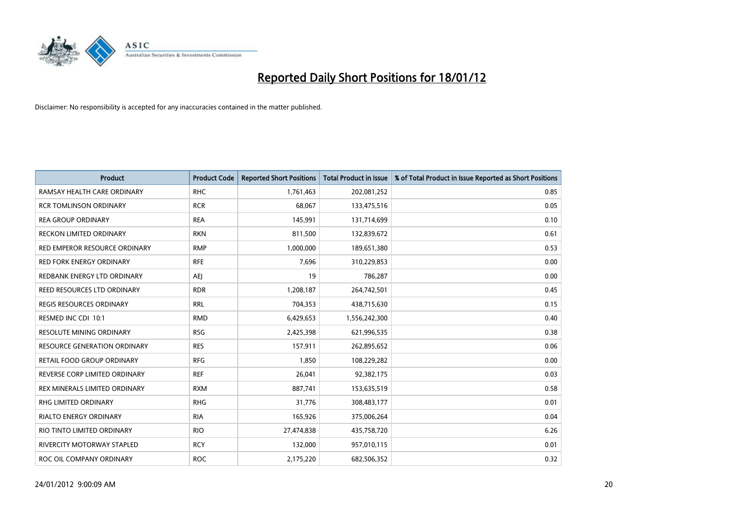

| <b>Product</b>                      | <b>Product Code</b> | <b>Reported Short Positions</b> | <b>Total Product in Issue</b> | % of Total Product in Issue Reported as Short Positions |
|-------------------------------------|---------------------|---------------------------------|-------------------------------|---------------------------------------------------------|
| RAMSAY HEALTH CARE ORDINARY         | <b>RHC</b>          | 1,761,463                       | 202,081,252                   | 0.85                                                    |
| <b>RCR TOMLINSON ORDINARY</b>       | <b>RCR</b>          | 68,067                          | 133,475,516                   | 0.05                                                    |
| <b>REA GROUP ORDINARY</b>           | <b>REA</b>          | 145,991                         | 131,714,699                   | 0.10                                                    |
| RECKON LIMITED ORDINARY             | <b>RKN</b>          | 811,500                         | 132,839,672                   | 0.61                                                    |
| RED EMPEROR RESOURCE ORDINARY       | <b>RMP</b>          | 1,000,000                       | 189,651,380                   | 0.53                                                    |
| <b>RED FORK ENERGY ORDINARY</b>     | <b>RFE</b>          | 7,696                           | 310,229,853                   | 0.00                                                    |
| REDBANK ENERGY LTD ORDINARY         | AEJ                 | 19                              | 786,287                       | 0.00                                                    |
| REED RESOURCES LTD ORDINARY         | <b>RDR</b>          | 1,208,187                       | 264,742,501                   | 0.45                                                    |
| <b>REGIS RESOURCES ORDINARY</b>     | <b>RRL</b>          | 704,353                         | 438,715,630                   | 0.15                                                    |
| RESMED INC CDI 10:1                 | <b>RMD</b>          | 6,429,653                       | 1,556,242,300                 | 0.40                                                    |
| <b>RESOLUTE MINING ORDINARY</b>     | <b>RSG</b>          | 2,425,398                       | 621,996,535                   | 0.38                                                    |
| <b>RESOURCE GENERATION ORDINARY</b> | <b>RES</b>          | 157,911                         | 262,895,652                   | 0.06                                                    |
| RETAIL FOOD GROUP ORDINARY          | <b>RFG</b>          | 1.850                           | 108,229,282                   | 0.00                                                    |
| REVERSE CORP LIMITED ORDINARY       | <b>REF</b>          | 26,041                          | 92,382,175                    | 0.03                                                    |
| REX MINERALS LIMITED ORDINARY       | <b>RXM</b>          | 887,741                         | 153,635,519                   | 0.58                                                    |
| RHG LIMITED ORDINARY                | <b>RHG</b>          | 31,776                          | 308,483,177                   | 0.01                                                    |
| RIALTO ENERGY ORDINARY              | <b>RIA</b>          | 165,926                         | 375,006,264                   | 0.04                                                    |
| RIO TINTO LIMITED ORDINARY          | <b>RIO</b>          | 27,474,838                      | 435,758,720                   | 6.26                                                    |
| <b>RIVERCITY MOTORWAY STAPLED</b>   | <b>RCY</b>          | 132,000                         | 957,010,115                   | 0.01                                                    |
| ROC OIL COMPANY ORDINARY            | <b>ROC</b>          | 2,175,220                       | 682,506,352                   | 0.32                                                    |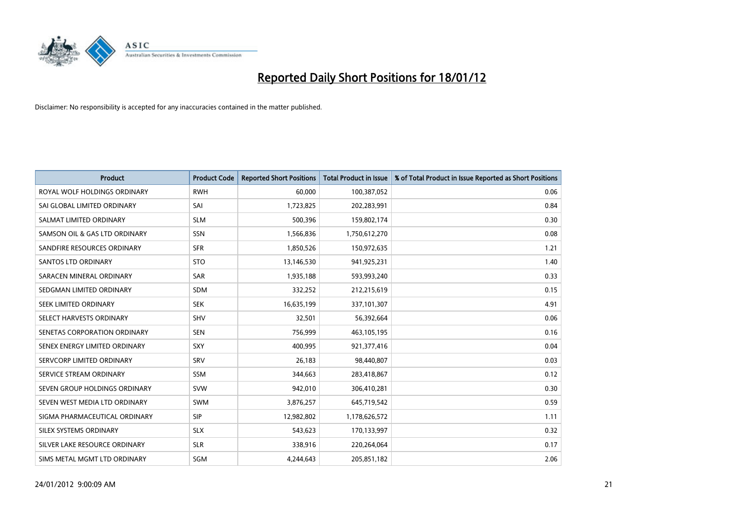

| <b>Product</b>                | <b>Product Code</b> | <b>Reported Short Positions</b> | <b>Total Product in Issue</b> | % of Total Product in Issue Reported as Short Positions |
|-------------------------------|---------------------|---------------------------------|-------------------------------|---------------------------------------------------------|
| ROYAL WOLF HOLDINGS ORDINARY  | <b>RWH</b>          | 60.000                          | 100,387,052                   | 0.06                                                    |
| SAI GLOBAL LIMITED ORDINARY   | SAI                 | 1,723,825                       | 202,283,991                   | 0.84                                                    |
| SALMAT LIMITED ORDINARY       | <b>SLM</b>          | 500,396                         | 159,802,174                   | 0.30                                                    |
| SAMSON OIL & GAS LTD ORDINARY | SSN                 | 1,566,836                       | 1,750,612,270                 | 0.08                                                    |
| SANDFIRE RESOURCES ORDINARY   | <b>SFR</b>          | 1,850,526                       | 150,972,635                   | 1.21                                                    |
| <b>SANTOS LTD ORDINARY</b>    | <b>STO</b>          | 13,146,530                      | 941,925,231                   | 1.40                                                    |
| SARACEN MINERAL ORDINARY      | <b>SAR</b>          | 1,935,188                       | 593,993,240                   | 0.33                                                    |
| SEDGMAN LIMITED ORDINARY      | <b>SDM</b>          | 332,252                         | 212,215,619                   | 0.15                                                    |
| SEEK LIMITED ORDINARY         | <b>SEK</b>          | 16,635,199                      | 337,101,307                   | 4.91                                                    |
| SELECT HARVESTS ORDINARY      | <b>SHV</b>          | 32,501                          | 56,392,664                    | 0.06                                                    |
| SENETAS CORPORATION ORDINARY  | <b>SEN</b>          | 756,999                         | 463,105,195                   | 0.16                                                    |
| SENEX ENERGY LIMITED ORDINARY | <b>SXY</b>          | 400,995                         | 921,377,416                   | 0.04                                                    |
| SERVCORP LIMITED ORDINARY     | SRV                 | 26,183                          | 98,440,807                    | 0.03                                                    |
| SERVICE STREAM ORDINARY       | SSM                 | 344,663                         | 283,418,867                   | 0.12                                                    |
| SEVEN GROUP HOLDINGS ORDINARY | <b>SVW</b>          | 942,010                         | 306,410,281                   | 0.30                                                    |
| SEVEN WEST MEDIA LTD ORDINARY | <b>SWM</b>          | 3,876,257                       | 645,719,542                   | 0.59                                                    |
| SIGMA PHARMACEUTICAL ORDINARY | SIP                 | 12,982,802                      | 1,178,626,572                 | 1.11                                                    |
| SILEX SYSTEMS ORDINARY        | <b>SLX</b>          | 543,623                         | 170,133,997                   | 0.32                                                    |
| SILVER LAKE RESOURCE ORDINARY | <b>SLR</b>          | 338,916                         | 220,264,064                   | 0.17                                                    |
| SIMS METAL MGMT LTD ORDINARY  | SGM                 | 4,244,643                       | 205,851,182                   | 2.06                                                    |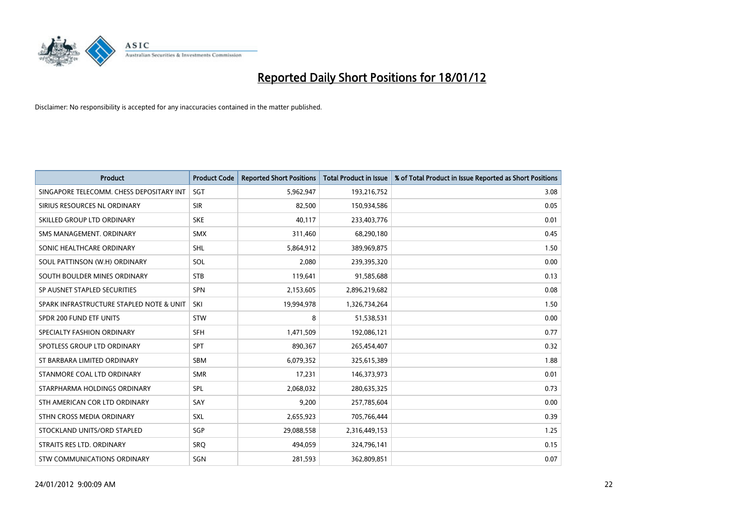

| <b>Product</b>                           | <b>Product Code</b> | <b>Reported Short Positions</b> | <b>Total Product in Issue</b> | % of Total Product in Issue Reported as Short Positions |
|------------------------------------------|---------------------|---------------------------------|-------------------------------|---------------------------------------------------------|
| SINGAPORE TELECOMM. CHESS DEPOSITARY INT | SGT                 | 5,962,947                       | 193,216,752                   | 3.08                                                    |
| SIRIUS RESOURCES NL ORDINARY             | <b>SIR</b>          | 82,500                          | 150,934,586                   | 0.05                                                    |
| SKILLED GROUP LTD ORDINARY               | <b>SKE</b>          | 40,117                          | 233,403,776                   | 0.01                                                    |
| SMS MANAGEMENT, ORDINARY                 | <b>SMX</b>          | 311,460                         | 68,290,180                    | 0.45                                                    |
| SONIC HEALTHCARE ORDINARY                | SHL                 | 5,864,912                       | 389,969,875                   | 1.50                                                    |
| SOUL PATTINSON (W.H) ORDINARY            | SOL                 | 2,080                           | 239,395,320                   | 0.00                                                    |
| SOUTH BOULDER MINES ORDINARY             | <b>STB</b>          | 119,641                         | 91,585,688                    | 0.13                                                    |
| SP AUSNET STAPLED SECURITIES             | SPN                 | 2,153,605                       | 2,896,219,682                 | 0.08                                                    |
| SPARK INFRASTRUCTURE STAPLED NOTE & UNIT | SKI                 | 19,994,978                      | 1,326,734,264                 | 1.50                                                    |
| SPDR 200 FUND ETF UNITS                  | STW                 | 8                               | 51,538,531                    | 0.00                                                    |
| SPECIALTY FASHION ORDINARY               | <b>SFH</b>          | 1,471,509                       | 192,086,121                   | 0.77                                                    |
| SPOTLESS GROUP LTD ORDINARY              | <b>SPT</b>          | 890,367                         | 265,454,407                   | 0.32                                                    |
| ST BARBARA LIMITED ORDINARY              | <b>SBM</b>          | 6,079,352                       | 325,615,389                   | 1.88                                                    |
| STANMORE COAL LTD ORDINARY               | <b>SMR</b>          | 17,231                          | 146,373,973                   | 0.01                                                    |
| STARPHARMA HOLDINGS ORDINARY             | <b>SPL</b>          | 2,068,032                       | 280,635,325                   | 0.73                                                    |
| STH AMERICAN COR LTD ORDINARY            | SAY                 | 9,200                           | 257,785,604                   | 0.00                                                    |
| STHN CROSS MEDIA ORDINARY                | SXL                 | 2,655,923                       | 705,766,444                   | 0.39                                                    |
| STOCKLAND UNITS/ORD STAPLED              | SGP                 | 29,088,558                      | 2,316,449,153                 | 1.25                                                    |
| STRAITS RES LTD. ORDINARY                | SRO                 | 494,059                         | 324,796,141                   | 0.15                                                    |
| STW COMMUNICATIONS ORDINARY              | SGN                 | 281,593                         | 362,809,851                   | 0.07                                                    |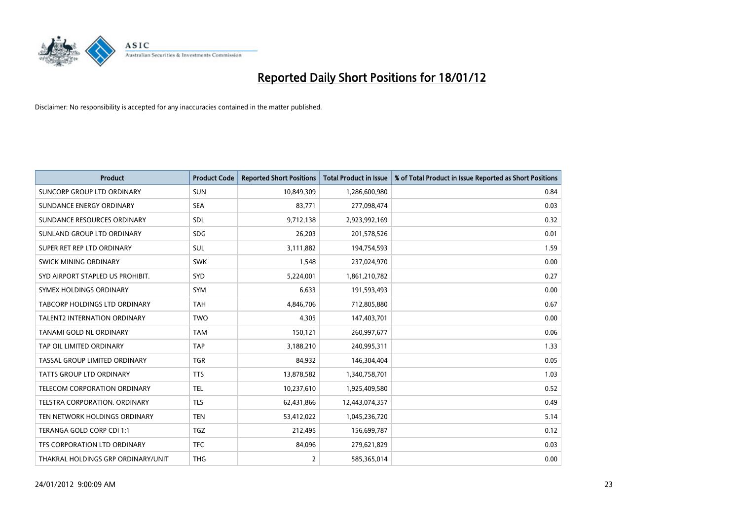

| <b>Product</b>                      | <b>Product Code</b> | <b>Reported Short Positions</b> | <b>Total Product in Issue</b> | % of Total Product in Issue Reported as Short Positions |
|-------------------------------------|---------------------|---------------------------------|-------------------------------|---------------------------------------------------------|
| SUNCORP GROUP LTD ORDINARY          | <b>SUN</b>          | 10,849,309                      | 1,286,600,980                 | 0.84                                                    |
| SUNDANCE ENERGY ORDINARY            | <b>SEA</b>          | 83,771                          | 277,098,474                   | 0.03                                                    |
| SUNDANCE RESOURCES ORDINARY         | <b>SDL</b>          | 9,712,138                       | 2,923,992,169                 | 0.32                                                    |
| SUNLAND GROUP LTD ORDINARY          | <b>SDG</b>          | 26,203                          | 201,578,526                   | 0.01                                                    |
| SUPER RET REP LTD ORDINARY          | <b>SUL</b>          | 3,111,882                       | 194,754,593                   | 1.59                                                    |
| SWICK MINING ORDINARY               | <b>SWK</b>          | 1,548                           | 237,024,970                   | 0.00                                                    |
| SYD AIRPORT STAPLED US PROHIBIT.    | <b>SYD</b>          | 5,224,001                       | 1,861,210,782                 | 0.27                                                    |
| SYMEX HOLDINGS ORDINARY             | <b>SYM</b>          | 6,633                           | 191,593,493                   | 0.00                                                    |
| TABCORP HOLDINGS LTD ORDINARY       | <b>TAH</b>          | 4,846,706                       | 712,805,880                   | 0.67                                                    |
| <b>TALENT2 INTERNATION ORDINARY</b> | <b>TWO</b>          | 4,305                           | 147,403,701                   | 0.00                                                    |
| TANAMI GOLD NL ORDINARY             | <b>TAM</b>          | 150,121                         | 260,997,677                   | 0.06                                                    |
| TAP OIL LIMITED ORDINARY            | <b>TAP</b>          | 3,188,210                       | 240,995,311                   | 1.33                                                    |
| TASSAL GROUP LIMITED ORDINARY       | <b>TGR</b>          | 84,932                          | 146,304,404                   | 0.05                                                    |
| <b>TATTS GROUP LTD ORDINARY</b>     | <b>TTS</b>          | 13,878,582                      | 1,340,758,701                 | 1.03                                                    |
| <b>TELECOM CORPORATION ORDINARY</b> | <b>TEL</b>          | 10,237,610                      | 1,925,409,580                 | 0.52                                                    |
| TELSTRA CORPORATION. ORDINARY       | <b>TLS</b>          | 62,431,866                      | 12,443,074,357                | 0.49                                                    |
| TEN NETWORK HOLDINGS ORDINARY       | <b>TEN</b>          | 53,412,022                      | 1,045,236,720                 | 5.14                                                    |
| TERANGA GOLD CORP CDI 1:1           | <b>TGZ</b>          | 212,495                         | 156,699,787                   | 0.12                                                    |
| TFS CORPORATION LTD ORDINARY        | <b>TFC</b>          | 84,096                          | 279,621,829                   | 0.03                                                    |
| THAKRAL HOLDINGS GRP ORDINARY/UNIT  | <b>THG</b>          | 2                               | 585,365,014                   | 0.00                                                    |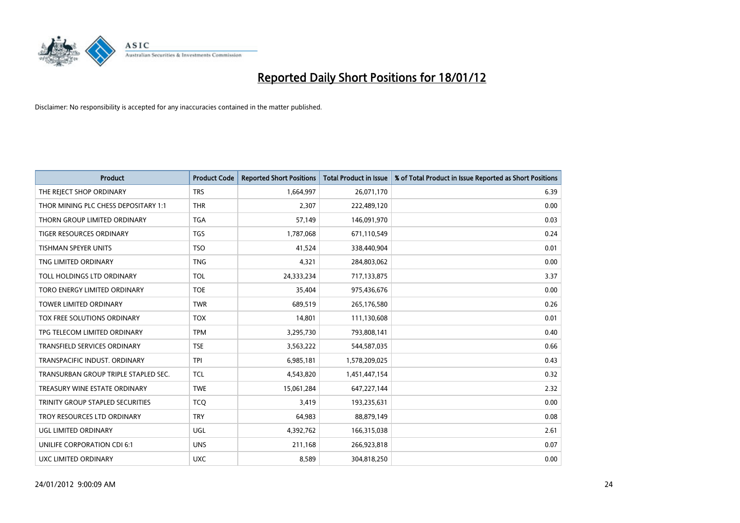

| <b>Product</b>                       | <b>Product Code</b> | <b>Reported Short Positions</b> | <b>Total Product in Issue</b> | % of Total Product in Issue Reported as Short Positions |
|--------------------------------------|---------------------|---------------------------------|-------------------------------|---------------------------------------------------------|
| THE REJECT SHOP ORDINARY             | <b>TRS</b>          | 1,664,997                       | 26,071,170                    | 6.39                                                    |
| THOR MINING PLC CHESS DEPOSITARY 1:1 | <b>THR</b>          | 2,307                           | 222,489,120                   | 0.00                                                    |
| THORN GROUP LIMITED ORDINARY         | <b>TGA</b>          | 57,149                          | 146,091,970                   | 0.03                                                    |
| TIGER RESOURCES ORDINARY             | <b>TGS</b>          | 1,787,068                       | 671,110,549                   | 0.24                                                    |
| <b>TISHMAN SPEYER UNITS</b>          | <b>TSO</b>          | 41,524                          | 338,440,904                   | 0.01                                                    |
| TNG LIMITED ORDINARY                 | <b>TNG</b>          | 4,321                           | 284,803,062                   | 0.00                                                    |
| TOLL HOLDINGS LTD ORDINARY           | TOL                 | 24,333,234                      | 717,133,875                   | 3.37                                                    |
| TORO ENERGY LIMITED ORDINARY         | <b>TOE</b>          | 35,404                          | 975,436,676                   | 0.00                                                    |
| <b>TOWER LIMITED ORDINARY</b>        | <b>TWR</b>          | 689.519                         | 265,176,580                   | 0.26                                                    |
| <b>TOX FREE SOLUTIONS ORDINARY</b>   | <b>TOX</b>          | 14,801                          | 111,130,608                   | 0.01                                                    |
| TPG TELECOM LIMITED ORDINARY         | <b>TPM</b>          | 3,295,730                       | 793,808,141                   | 0.40                                                    |
| <b>TRANSFIELD SERVICES ORDINARY</b>  | <b>TSE</b>          | 3,563,222                       | 544,587,035                   | 0.66                                                    |
| TRANSPACIFIC INDUST. ORDINARY        | <b>TPI</b>          | 6,985,181                       | 1,578,209,025                 | 0.43                                                    |
| TRANSURBAN GROUP TRIPLE STAPLED SEC. | TCL                 | 4,543,820                       | 1,451,447,154                 | 0.32                                                    |
| TREASURY WINE ESTATE ORDINARY        | <b>TWE</b>          | 15,061,284                      | 647,227,144                   | 2.32                                                    |
| TRINITY GROUP STAPLED SECURITIES     | <b>TCO</b>          | 3,419                           | 193,235,631                   | 0.00                                                    |
| TROY RESOURCES LTD ORDINARY          | <b>TRY</b>          | 64,983                          | 88,879,149                    | 0.08                                                    |
| UGL LIMITED ORDINARY                 | UGL                 | 4,392,762                       | 166,315,038                   | 2.61                                                    |
| UNILIFE CORPORATION CDI 6:1          | <b>UNS</b>          | 211,168                         | 266,923,818                   | 0.07                                                    |
| UXC LIMITED ORDINARY                 | <b>UXC</b>          | 8,589                           | 304,818,250                   | 0.00                                                    |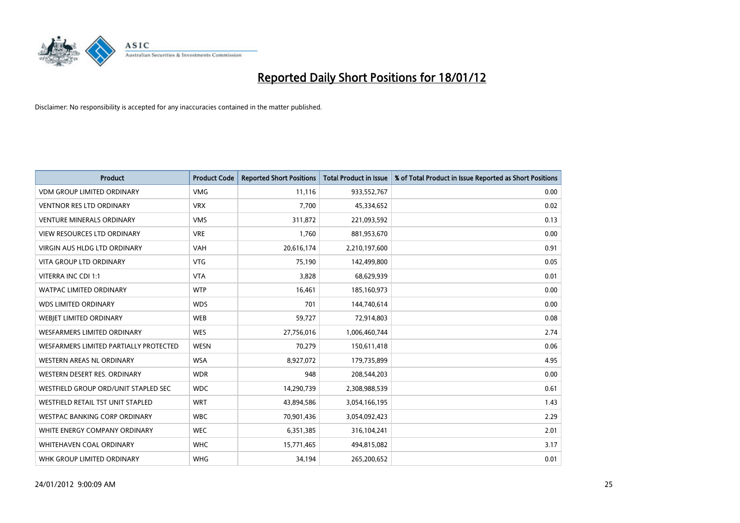

| <b>Product</b>                         | <b>Product Code</b> | <b>Reported Short Positions</b> | <b>Total Product in Issue</b> | % of Total Product in Issue Reported as Short Positions |
|----------------------------------------|---------------------|---------------------------------|-------------------------------|---------------------------------------------------------|
| <b>VDM GROUP LIMITED ORDINARY</b>      | <b>VMG</b>          | 11,116                          | 933,552,767                   | 0.00                                                    |
| <b>VENTNOR RES LTD ORDINARY</b>        | <b>VRX</b>          | 7,700                           | 45,334,652                    | 0.02                                                    |
| <b>VENTURE MINERALS ORDINARY</b>       | <b>VMS</b>          | 311,872                         | 221,093,592                   | 0.13                                                    |
| VIEW RESOURCES LTD ORDINARY            | <b>VRE</b>          | 1,760                           | 881,953,670                   | 0.00                                                    |
| <b>VIRGIN AUS HLDG LTD ORDINARY</b>    | <b>VAH</b>          | 20,616,174                      | 2,210,197,600                 | 0.91                                                    |
| <b>VITA GROUP LTD ORDINARY</b>         | <b>VTG</b>          | 75,190                          | 142,499,800                   | 0.05                                                    |
| VITERRA INC CDI 1:1                    | <b>VTA</b>          | 3,828                           | 68,629,939                    | 0.01                                                    |
| <b>WATPAC LIMITED ORDINARY</b>         | <b>WTP</b>          | 16,461                          | 185,160,973                   | 0.00                                                    |
| <b>WDS LIMITED ORDINARY</b>            | <b>WDS</b>          | 701                             | 144,740,614                   | 0.00                                                    |
| WEBIET LIMITED ORDINARY                | <b>WEB</b>          | 59,727                          | 72,914,803                    | 0.08                                                    |
| <b>WESFARMERS LIMITED ORDINARY</b>     | <b>WES</b>          | 27,756,016                      | 1,006,460,744                 | 2.74                                                    |
| WESFARMERS LIMITED PARTIALLY PROTECTED | <b>WESN</b>         | 70,279                          | 150,611,418                   | 0.06                                                    |
| <b>WESTERN AREAS NL ORDINARY</b>       | <b>WSA</b>          | 8,927,072                       | 179,735,899                   | 4.95                                                    |
| WESTERN DESERT RES. ORDINARY           | <b>WDR</b>          | 948                             | 208,544,203                   | 0.00                                                    |
| WESTFIELD GROUP ORD/UNIT STAPLED SEC   | <b>WDC</b>          | 14,290,739                      | 2,308,988,539                 | 0.61                                                    |
| WESTFIELD RETAIL TST UNIT STAPLED      | <b>WRT</b>          | 43,894,586                      | 3,054,166,195                 | 1.43                                                    |
| WESTPAC BANKING CORP ORDINARY          | <b>WBC</b>          | 70,901,436                      | 3,054,092,423                 | 2.29                                                    |
| WHITE ENERGY COMPANY ORDINARY          | <b>WEC</b>          | 6,351,385                       | 316,104,241                   | 2.01                                                    |
| <b>WHITEHAVEN COAL ORDINARY</b>        | <b>WHC</b>          | 15,771,465                      | 494,815,082                   | 3.17                                                    |
| WHK GROUP LIMITED ORDINARY             | <b>WHG</b>          | 34,194                          | 265,200,652                   | 0.01                                                    |